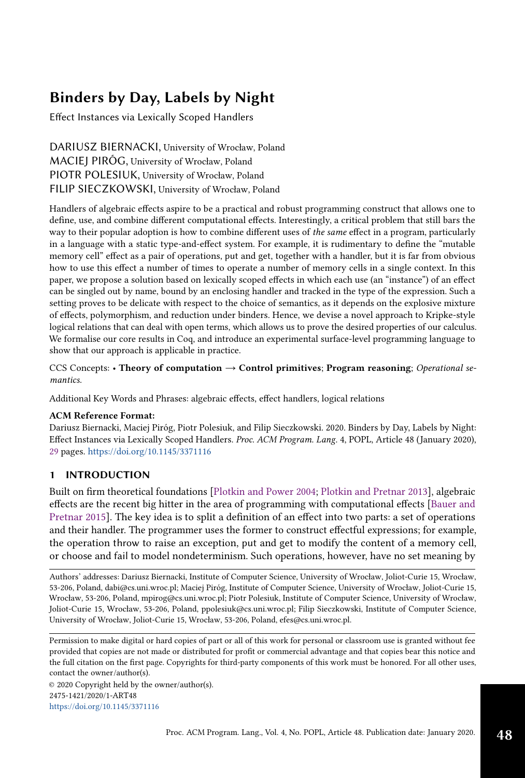## Binders by Day, Labels by Night

Effect Instances via Lexically Scoped Handlers

DARIUSZ BIERNACKI, University of Wrocław, Poland MACIEJ PIRÓG, University of Wrocław, Poland PIOTR POLESIUK, University of Wrocław, Poland FILIP SIECZKOWSKI, University of Wrocław, Poland

Handlers of algebraic effects aspire to be a practical and robust programming construct that allows one to define, use, and combine different computational effects. Interestingly, a critical problem that still bars the way to their popular adoption is how to combine different uses of the same effect in a program, particularly in a language with a static type-and-effect system. For example, it is rudimentary to define the "mutable memory cell" effect as a pair of operations, put and get, together with a handler, but it is far from obvious how to use this effect a number of times to operate a number of memory cells in a single context. In this paper, we propose a solution based on lexically scoped effects in which each use (an "instance") of an effect can be singled out by name, bound by an enclosing handler and tracked in the type of the expression. Such a setting proves to be delicate with respect to the choice of semantics, as it depends on the explosive mixture of effects, polymorphism, and reduction under binders. Hence, we devise a novel approach to Kripke-style logical relations that can deal with open terms, which allows us to prove the desired properties of our calculus. We formalise our core results in Coq, and introduce an experimental surface-level programming language to show that our approach is applicable in practice.

CCS Concepts: • Theory of computation  $\rightarrow$  Control primitives; Program reasoning; Operational semantics.

Additional Key Words and Phrases: algebraic effects, effect handlers, logical relations

### ACM Reference Format:

Dariusz Biernacki, Maciej Piróg, Piotr Polesiuk, and Filip Sieczkowski. 2020. Binders by Day, Labels by Night: Effect Instances via Lexically Scoped Handlers. Proc. ACM Program. Lang. 4, POPL, Article 48 (January 2020), [29](#page-28-0) pages. <https://doi.org/10.1145/3371116>

## <span id="page-0-0"></span>1 INTRODUCTION

Built on firm theoretical foundations [\[Plotkin and Power](#page-27-0) [2004;](#page-27-0) [Plotkin and Pretnar](#page-27-1) [2013\]](#page-27-1), algebraic effects are the recent big hitter in the area of programming with computational effects [\[Bauer and](#page-26-0) [Pretnar](#page-26-0) [2015\]](#page-26-0). The key idea is to split a definition of an effect into two parts: a set of operations and their handler. The programmer uses the former to construct effectful expressions; for example, the operation throw to raise an exception, put and get to modify the content of a memory cell, or choose and fail to model nondeterminism. Such operations, however, have no set meaning by

Authors' addresses: Dariusz Biernacki, Institute of Computer Science, University of Wrocław, Joliot-Curie 15, Wrocław, 53-206, Poland, dabi@cs.uni.wroc.pl; Maciej Piróg, Institute of Computer Science, University of Wrocław, Joliot-Curie 15, Wrocław, 53-206, Poland, mpirog@cs.uni.wroc.pl; Piotr Polesiuk, Institute of Computer Science, University of Wrocław, Joliot-Curie 15, Wrocław, 53-206, Poland, ppolesiuk@cs.uni.wroc.pl; Filip Sieczkowski, Institute of Computer Science, University of Wrocław, Joliot-Curie 15, Wrocław, 53-206, Poland, efes@cs.uni.wroc.pl.

Permission to make digital or hard copies of part or all of this work for personal or classroom use is granted without fee provided that copies are not made or distributed for profit or commercial advantage and that copies bear this notice and the full citation on the first page. Copyrights for third-party components of this work must be honored. For all other uses, contact the owner/author(s).

© 2020 Copyright held by the owner/author(s). 2475-1421/2020/1-ART48 <https://doi.org/10.1145/3371116>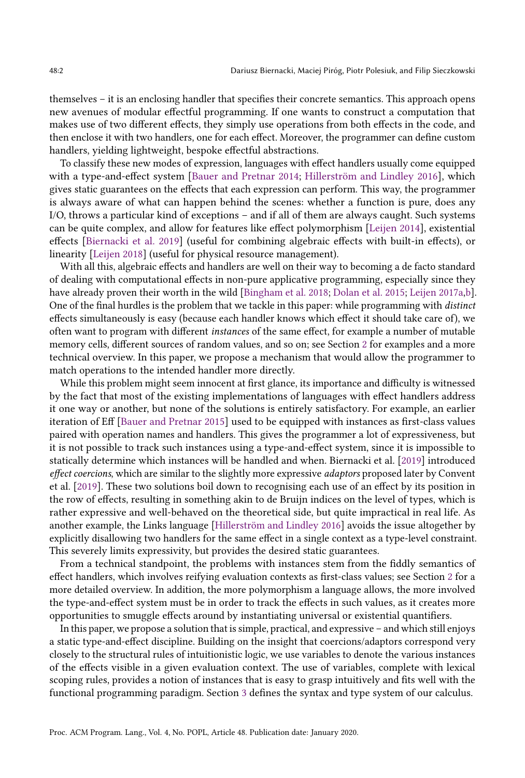themselves – it is an enclosing handler that specifies their concrete semantics. This approach opens new avenues of modular effectful programming. If one wants to construct a computation that makes use of two different effects, they simply use operations from both effects in the code, and then enclose it with two handlers, one for each effect. Moreover, the programmer can define custom handlers, yielding lightweight, bespoke effectful abstractions.

To classify these new modes of expression, languages with effect handlers usually come equipped with a type-and-effect system [\[Bauer and Pretnar](#page-26-1) [2014;](#page-26-1) [Hillerström and Lindley](#page-27-2) [2016\]](#page-27-2), which gives static guarantees on the effects that each expression can perform. This way, the programmer is always aware of what can happen behind the scenes: whether a function is pure, does any I/O, throws a particular kind of exceptions – and if all of them are always caught. Such systems can be quite complex, and allow for features like effect polymorphism [\[Leijen](#page-27-3) [2014\]](#page-27-3), existential effects [\[Biernacki et al.](#page-26-2) [2019\]](#page-26-2) (useful for combining algebraic effects with built-in effects), or linearity [\[Leijen](#page-27-4) [2018\]](#page-27-4) (useful for physical resource management).

With all this, algebraic effects and handlers are well on their way to becoming a de facto standard of dealing with computational effects in non-pure applicative programming, especially since they have already proven their worth in the wild [\[Bingham et al.](#page-26-3) [2018;](#page-26-3) [Dolan et al.](#page-26-4) [2015;](#page-26-4) [Leijen](#page-27-5) [2017a](#page-27-5)[,b\]](#page-27-6). One of the final hurdles is the problem that we tackle in this paper: while programming with distinct effects simultaneously is easy (because each handler knows which effect it should take care of), we often want to program with different instances of the same effect, for example a number of mutable memory cells, different sources of random values, and so on; see Section [2](#page-3-0) for examples and a more technical overview. In this paper, we propose a mechanism that would allow the programmer to match operations to the intended handler more directly.

While this problem might seem innocent at first glance, its importance and difficulty is witnessed by the fact that most of the existing implementations of languages with effect handlers address it one way or another, but none of the solutions is entirely satisfactory. For example, an earlier iteration of Eff [\[Bauer and Pretnar](#page-26-0) [2015\]](#page-26-0) used to be equipped with instances as first-class values paired with operation names and handlers. This gives the programmer a lot of expressiveness, but it is not possible to track such instances using a type-and-effect system, since it is impossible to statically determine which instances will be handled and when. Biernacki et al. [\[2019\]](#page-26-2) introduced effect coercions, which are similar to the slightly more expressive *adaptors* proposed later by Convent et al. [\[2019\]](#page-26-5). These two solutions boil down to recognising each use of an effect by its position in the row of effects, resulting in something akin to de Bruijn indices on the level of types, which is rather expressive and well-behaved on the theoretical side, but quite impractical in real life. As another example, the Links language [\[Hillerström and Lindley](#page-27-2) [2016\]](#page-27-2) avoids the issue altogether by explicitly disallowing two handlers for the same effect in a single context as a type-level constraint. This severely limits expressivity, but provides the desired static guarantees.

From a technical standpoint, the problems with instances stem from the fiddly semantics of effect handlers, which involves reifying evaluation contexts as first-class values; see Section [2](#page-3-0) for a more detailed overview. In addition, the more polymorphism a language allows, the more involved the type-and-effect system must be in order to track the effects in such values, as it creates more opportunities to smuggle effects around by instantiating universal or existential quantifiers.

In this paper, we propose a solution that is simple, practical, and expressive – and which still enjoys a static type-and-effect discipline. Building on the insight that coercions/adaptors correspond very closely to the structural rules of intuitionistic logic, we use variables to denote the various instances of the effects visible in a given evaluation context. The use of variables, complete with lexical scoping rules, provides a notion of instances that is easy to grasp intuitively and fits well with the functional programming paradigm. Section [3](#page-5-0) defines the syntax and type system of our calculus.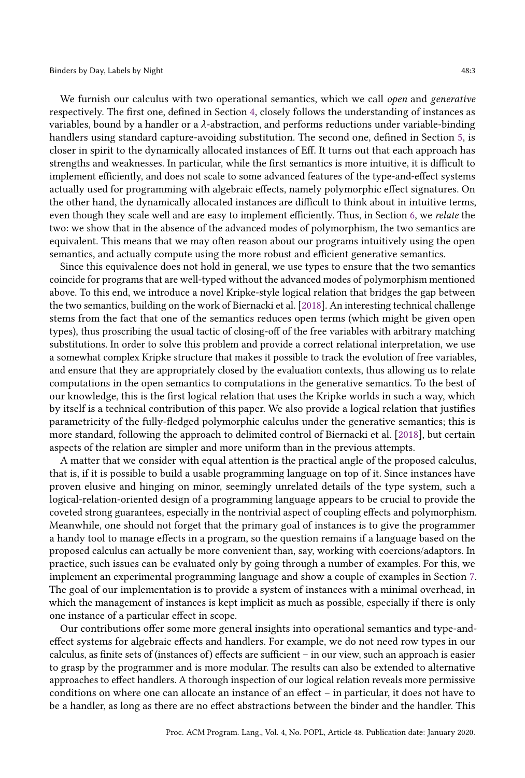We furnish our calculus with two operational semantics, which we call open and generative respectively. The first one, defined in Section [4,](#page-8-0) closely follows the understanding of instances as variables, bound by a handler or a  $\lambda$ -abstraction, and performs reductions under variable-binding handlers using standard capture-avoiding substitution. The second one, defined in Section [5,](#page-11-0) is closer in spirit to the dynamically allocated instances of Eff. It turns out that each approach has strengths and weaknesses. In particular, while the first semantics is more intuitive, it is difficult to implement efficiently, and does not scale to some advanced features of the type-and-effect systems actually used for programming with algebraic effects, namely polymorphic effect signatures. On the other hand, the dynamically allocated instances are difficult to think about in intuitive terms, even though they scale well and are easy to implement efficiently. Thus, in Section [6,](#page-13-0) we relate the two: we show that in the absence of the advanced modes of polymorphism, the two semantics are equivalent. This means that we may often reason about our programs intuitively using the open semantics, and actually compute using the more robust and efficient generative semantics.

Since this equivalence does not hold in general, we use types to ensure that the two semantics coincide for programs that are well-typed without the advanced modes of polymorphism mentioned above. To this end, we introduce a novel Kripke-style logical relation that bridges the gap between the two semantics, building on the work of Biernacki et al. [\[2018\]](#page-26-6). An interesting technical challenge stems from the fact that one of the semantics reduces open terms (which might be given open types), thus proscribing the usual tactic of closing-off of the free variables with arbitrary matching substitutions. In order to solve this problem and provide a correct relational interpretation, we use a somewhat complex Kripke structure that makes it possible to track the evolution of free variables, and ensure that they are appropriately closed by the evaluation contexts, thus allowing us to relate computations in the open semantics to computations in the generative semantics. To the best of our knowledge, this is the first logical relation that uses the Kripke worlds in such a way, which by itself is a technical contribution of this paper. We also provide a logical relation that justifies parametricity of the fully-fledged polymorphic calculus under the generative semantics; this is more standard, following the approach to delimited control of Biernacki et al. [\[2018\]](#page-26-6), but certain aspects of the relation are simpler and more uniform than in the previous attempts.

A matter that we consider with equal attention is the practical angle of the proposed calculus, that is, if it is possible to build a usable programming language on top of it. Since instances have proven elusive and hinging on minor, seemingly unrelated details of the type system, such a logical-relation-oriented design of a programming language appears to be crucial to provide the coveted strong guarantees, especially in the nontrivial aspect of coupling effects and polymorphism. Meanwhile, one should not forget that the primary goal of instances is to give the programmer a handy tool to manage effects in a program, so the question remains if a language based on the proposed calculus can actually be more convenient than, say, working with coercions/adaptors. In practice, such issues can be evaluated only by going through a number of examples. For this, we implement an experimental programming language and show a couple of examples in Section [7.](#page-22-0) The goal of our implementation is to provide a system of instances with a minimal overhead, in which the management of instances is kept implicit as much as possible, especially if there is only one instance of a particular effect in scope.

Our contributions offer some more general insights into operational semantics and type-andeffect systems for algebraic effects and handlers. For example, we do not need row types in our calculus, as finite sets of (instances of) effects are sufficient – in our view, such an approach is easier to grasp by the programmer and is more modular. The results can also be extended to alternative approaches to effect handlers. A thorough inspection of our logical relation reveals more permissive conditions on where one can allocate an instance of an effect – in particular, it does not have to be a handler, as long as there are no effect abstractions between the binder and the handler. This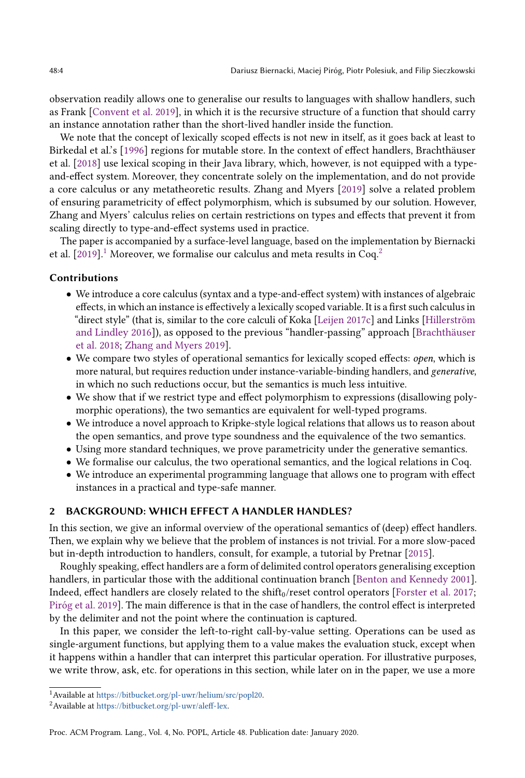observation readily allows one to generalise our results to languages with shallow handlers, such as Frank [\[Convent et al.](#page-26-5) [2019\]](#page-26-5), in which it is the recursive structure of a function that should carry an instance annotation rather than the short-lived handler inside the function.

We note that the concept of lexically scoped effects is not new in itself, as it goes back at least to Birkedal et al.'s [\[1996\]](#page-26-7) regions for mutable store. In the context of effect handlers, Brachthäuser et al. [\[2018\]](#page-26-8) use lexical scoping in their Java library, which, however, is not equipped with a typeand-effect system. Moreover, they concentrate solely on the implementation, and do not provide a core calculus or any metatheoretic results. Zhang and Myers [\[2019\]](#page-28-1) solve a related problem of ensuring parametricity of effect polymorphism, which is subsumed by our solution. However, Zhang and Myers' calculus relies on certain restrictions on types and effects that prevent it from scaling directly to type-and-effect systems used in practice.

The paper is accompanied by a surface-level language, based on the implementation by Biernacki et al. [\[2019\]](#page-26-2).<sup>[1](#page-3-1)</sup> Moreover, we formalise our calculus and meta results in Coq.<sup>[2](#page-3-2)</sup>

## Contributions

- We introduce a core calculus (syntax and a type-and-effect system) with instances of algebraic effects, in which an instance is effectively a lexically scoped variable. It is a first such calculus in "direct style" (that is, similar to the core calculi of Koka [\[Leijen](#page-27-7) [2017c\]](#page-27-7) and Links [\[Hillerström](#page-27-2) [and Lindley](#page-27-2) [2016\]](#page-27-2)), as opposed to the previous "handler-passing" approach [\[Brachthäuser](#page-26-8) [et al.](#page-26-8) [2018;](#page-26-8) [Zhang and Myers](#page-28-1) [2019\]](#page-28-1).
- We compare two styles of operational semantics for lexically scoped effects: open, which is more natural, but requires reduction under instance-variable-binding handlers, and generative, in which no such reductions occur, but the semantics is much less intuitive.
- We show that if we restrict type and effect polymorphism to expressions (disallowing polymorphic operations), the two semantics are equivalent for well-typed programs.
- We introduce a novel approach to Kripke-style logical relations that allows us to reason about the open semantics, and prove type soundness and the equivalence of the two semantics.
- Using more standard techniques, we prove parametricity under the generative semantics.
- We formalise our calculus, the two operational semantics, and the logical relations in Coq.
- We introduce an experimental programming language that allows one to program with effect instances in a practical and type-safe manner.

## <span id="page-3-0"></span>2 BACKGROUND: WHICH EFFECT A HANDLER HANDLES?

In this section, we give an informal overview of the operational semantics of (deep) effect handlers. Then, we explain why we believe that the problem of instances is not trivial. For a more slow-paced but in-depth introduction to handlers, consult, for example, a tutorial by Pretnar [\[2015\]](#page-27-8).

Roughly speaking, effect handlers are a form of delimited control operators generalising exception handlers, in particular those with the additional continuation branch [\[Benton and Kennedy](#page-26-9) [2001\]](#page-26-9). Indeed, effect handlers are closely related to the  $\frac{\sin\theta_0}{\csc\theta}$  reset control operators [\[Forster et al.](#page-26-10) [2017;](#page-26-10) [Piróg et al.](#page-27-9) [2019\]](#page-27-9). The main difference is that in the case of handlers, the control effect is interpreted by the delimiter and not the point where the continuation is captured.

In this paper, we consider the left-to-right call-by-value setting. Operations can be used as single-argument functions, but applying them to a value makes the evaluation stuck, except when it happens within a handler that can interpret this particular operation. For illustrative purposes, we write throw, ask, etc. for operations in this section, while later on in the paper, we use a more

<span id="page-3-1"></span><sup>1</sup>Available at [https://bitbucket.org/pl-uwr/helium/src/popl20.](https://bitbucket.org/pl-uwr/helium/src/popl20)

<span id="page-3-2"></span><sup>2</sup>Available at [https://bitbucket.org/pl-uwr/aleff-lex.](https://bitbucket.org/pl-uwr/aleff-lex)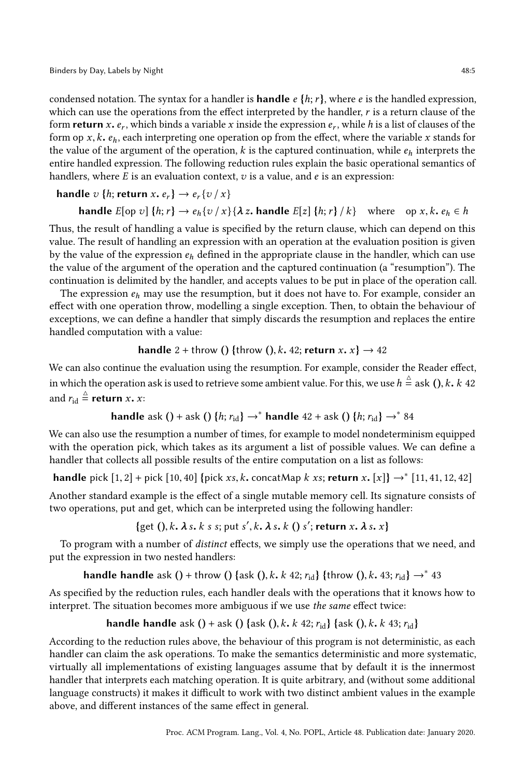condensed notation. The syntax for a handler is **handle**  $e \{h, r\}$ , where e is the handled expression, which can use the operations from the effect interpreted by the handler,  $r$  is a return clause of the form **return** x,  $e_r$ , which binds a variable x inside the expression  $e_r$ , while h is a list of clauses of the form on  $x \mid k$ , each interpreting one operation on from the effect, where the variable x stands for form op  $x, k, e_h$ , each interpreting one operation op from the effect, where the variable x stands for the value of the argument of the operation, k is the captured continuation, while  $e_h$  interprets the entire handled expression. The following reduction rules explain the basic operational semantics of handlers, where  $E$  is an evaluation context,  $v$  is a value, and  $e$  is an expression:

**handle** 
$$
v
$$
 { $h$ ; **return**  $x$ ,  $e_r$   $\rightarrow e_r$  { $v / x$ }

**handle** 
$$
E[op \, v]
$$
 { $h; r$ }  $\rightarrow e_h\{v/x\}\{\lambda z\text{. handle } E[z] \{h; r\}/k\}$  where  $op \, x, k, e_h \in h$   
Thus, the result of handling a value is specified by the return clause, which can depend on this

value. The result of handling an expression with an operation at the evaluation position is given by the value of the expression  $e_h$  defined in the appropriate clause in the handler, which can use the value of the argument of the operation and the captured continuation (a "resumption"). The continuation is delimited by the handler, and accepts values to be put in place of the operation call.

The expression  $e_h$  may use the resumption, but it does not have to. For example, consider an effect with one operation throw, modelling a single exception. Then, to obtain the behaviour of exceptions, we can define a handler that simply discards the resumption and replaces the entire handled computation with a value:

## **handle** 2 + throw () {throw (),  $k$ , 42; **return**  $x$ ,  $x$ }  $\rightarrow$  42

We can also continue the evaluation using the resumption. For example, consider the Reader effect, in which the operation ask is used to retrieve some ambient value. For this, we use  $h \stackrel{\triangle}{=}$  ask (), k. k 42 and  $r_{\text{id}} \stackrel{\Delta}{=} \textbf{return } x \textbf{. } x$ :

**handle** ask () + ask () {*h*; 
$$
r_{\text{id}}
$$
}  $\rightarrow$ <sup>\*</sup> **handle** 42 + ask () {*h*;  $r_{\text{id}}$ }  $\rightarrow$ <sup>\*</sup> 84

We can also use the resumption a number of times, for example to model nondeterminism equipped with the operation pick, which takes as its argument a list of possible values. We can define a handler that collects all possible results of the entire computation on a list as follows:

**handle** pick  $[1, 2]$  + pick  $[10, 40]$  {pick xs, k. concatMap k xs; return x.  $[x]$ } → \*  $[11, 41, 12, 42]$ 

Another standard example is the effect of a single mutable memory cell. Its signature consists of two operations, put and get, which can be interpreted using the following handler:

{get (),  $k$ ,  $\lambda$  s,  $k$  s s; put s',  $k$ ,  $\lambda$  s,  $k$  () s'; return  $x$ ,  $\lambda$  s,  $x$ }

To program with a number of distinct effects, we simply use the operations that we need, and put the expression in two nested handlers:

**handle handle** ask () + throw () {ask (), k, k 42;  $r_{\text{id}}$ } {throw (), k, 43;  $r_{\text{id}}$ }  $\rightarrow^*$  43

As specified by the reduction rules, each handler deals with the operations that it knows how to interpret. The situation becomes more ambiguous if we use the same effect twice:

**handle handle** ask () + ask () {ask (),  $k$ ,  $k$  42;  $r_{id}$ } {ask (),  $k$ ,  $k$  43;  $r_{id}$ }

According to the reduction rules above, the behaviour of this program is not deterministic, as each handler can claim the ask operations. To make the semantics deterministic and more systematic, virtually all implementations of existing languages assume that by default it is the innermost handler that interprets each matching operation. It is quite arbitrary, and (without some additional language constructs) it makes it difficult to work with two distinct ambient values in the example above, and different instances of the same effect in general.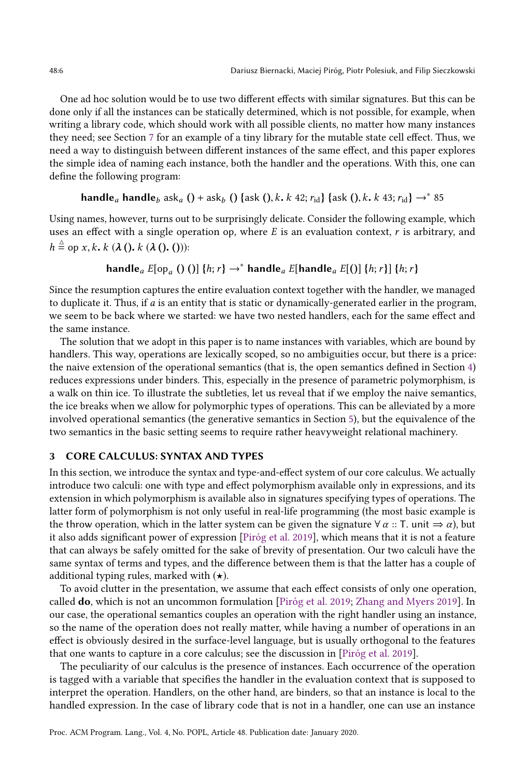One ad hoc solution would be to use two different effects with similar signatures. But this can be done only if all the instances can be statically determined, which is not possible, for example, when writing a library code, which should work with all possible clients, no matter how many instances they need; see Section [7](#page-22-0) for an example of a tiny library for the mutable state cell effect. Thus, we need a way to distinguish between different instances of the same effect, and this paper explores the simple idea of naming each instance, both the handler and the operations. With this, one can define the following program:

# handle<sub>a</sub> handle<sub>b</sub> ask<sub>a</sub> () + ask<sub>b</sub> () {ask (), k, k 42;  $r_{\text{id}}$ } {ask (), k, k 43;  $r_{\text{id}}$ }  $\rightarrow^*$  85

Using names, however, turns out to be surprisingly delicate. Consider the following example, which uses an effect with a single operation op, where  $E$  is an evaluation context,  $r$  is arbitrary, and  $h \stackrel{\triangle}{=}$  op x, k, k ( $\lambda$  (), k ( $\lambda$  (), ())):

# handle $_{a}E[\text{op}_{a} ( ) ) ]$   $\{h;r\} \rightarrow^*$  handle $_{a}E[\text{handle}_{a} E[() ]$   $\{h;r\} ]$   $\{h;r\}$

Since the resumption captures the entire evaluation context together with the handler, we managed to duplicate it. Thus, if a is an entity that is static or dynamically-generated earlier in the program, we seem to be back where we started: we have two nested handlers, each for the same effect and the same instance.

The solution that we adopt in this paper is to name instances with variables, which are bound by handlers. This way, operations are lexically scoped, so no ambiguities occur, but there is a price: the naive extension of the operational semantics (that is, the open semantics defined in Section [4\)](#page-8-0) reduces expressions under binders. This, especially in the presence of parametric polymorphism, is a walk on thin ice. To illustrate the subtleties, let us reveal that if we employ the naive semantics, the ice breaks when we allow for polymorphic types of operations. This can be alleviated by a more involved operational semantics (the generative semantics in Section [5\)](#page-11-0), but the equivalence of the two semantics in the basic setting seems to require rather heavyweight relational machinery.

## <span id="page-5-0"></span>3 CORE CALCULUS: SYNTAX AND TYPES

In this section, we introduce the syntax and type-and-effect system of our core calculus. We actually introduce two calculi: one with type and effect polymorphism available only in expressions, and its extension in which polymorphism is available also in signatures specifying types of operations. The latter form of polymorphism is not only useful in real-life programming (the most basic example is the throw operation, which in the latter system can be given the signature  $\forall \alpha :: T$ . unit  $\Rightarrow \alpha$ ), but it also adds significant power of expression [\[Piróg et al.](#page-27-9) [2019\]](#page-27-9), which means that it is not a feature that can always be safely omitted for the sake of brevity of presentation. Our two calculi have the same syntax of terms and types, and the difference between them is that the latter has a couple of additional typing rules, marked with  $(\star)$ .

To avoid clutter in the presentation, we assume that each effect consists of only one operation, called do, which is not an uncommon formulation [\[Piróg et al.](#page-27-9) [2019;](#page-27-9) [Zhang and Myers](#page-28-1) [2019\]](#page-28-1). In our case, the operational semantics couples an operation with the right handler using an instance, so the name of the operation does not really matter, while having a number of operations in an effect is obviously desired in the surface-level language, but is usually orthogonal to the features that one wants to capture in a core calculus; see the discussion in [\[Piróg et al.](#page-27-9) [2019\]](#page-27-9).

The peculiarity of our calculus is the presence of instances. Each occurrence of the operation is tagged with a variable that specifies the handler in the evaluation context that is supposed to interpret the operation. Handlers, on the other hand, are binders, so that an instance is local to the handled expression. In the case of library code that is not in a handler, one can use an instance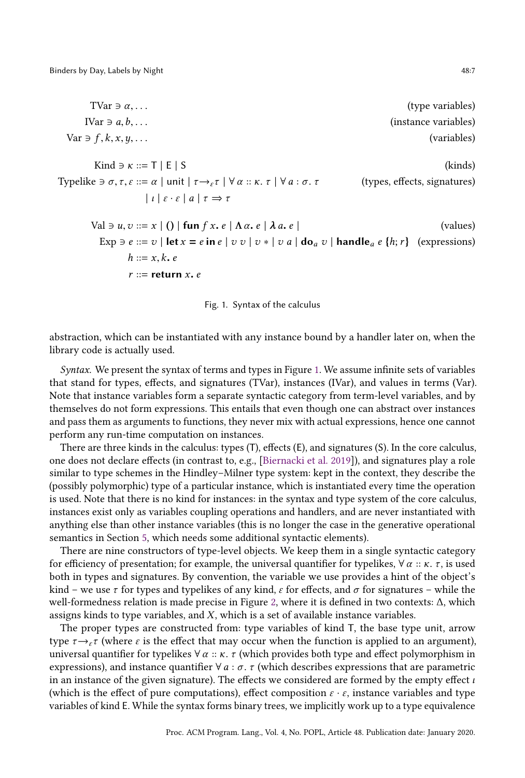<span id="page-6-0"></span>TVar  $\exists \alpha, \ldots$  (type variables) IVar  $\exists$  a, b, ... (instance variables) (instance variables) Var  $\exists f, k, x, y, \ldots$  (variables) Kind ∋  $\kappa ::=$  T | E | S (kinds) Typelike  $\exists \sigma, \tau, \varepsilon ::= \alpha \mid \text{unit} \mid \tau \rightarrow_{\varepsilon} \tau \mid \forall \alpha :: \kappa. \tau \mid \forall a : \sigma. \tau$  (types, effects, signatures)  $| l | \varepsilon \cdot \varepsilon | a | \tau \Rightarrow \tau$ Val  $\exists u, v ::= x \mid () \mid$  fun f x, e  $\mid \Lambda \alpha$ , e  $\mid \lambda a$ , e  $\mid$  (values) Exp  $\exists e ::= v \mid \textbf{let } x = e \textbf{ in } e \mid v \ v \mid v * \mid v \ a \mid \textbf{do}_a v \mid \textbf{handle}_a e \{h; r\}$  (expressions)  $h ::= x, k, e$  $r ::=$  return  $x$ . e



abstraction, which can be instantiated with any instance bound by a handler later on, when the library code is actually used.

Syntax. We present the syntax of terms and types in Figure [1.](#page-6-0) We assume infinite sets of variables that stand for types, effects, and signatures (TVar), instances (IVar), and values in terms (Var). Note that instance variables form a separate syntactic category from term-level variables, and by themselves do not form expressions. This entails that even though one can abstract over instances and pass them as arguments to functions, they never mix with actual expressions, hence one cannot perform any run-time computation on instances.

There are three kinds in the calculus: types (T), effects (E), and signatures (S). In the core calculus, one does not declare effects (in contrast to, e.g., [\[Biernacki et al.](#page-26-2) [2019\]](#page-26-2)), and signatures play a role similar to type schemes in the Hindley–Milner type system: kept in the context, they describe the (possibly polymorphic) type of a particular instance, which is instantiated every time the operation is used. Note that there is no kind for instances: in the syntax and type system of the core calculus, instances exist only as variables coupling operations and handlers, and are never instantiated with anything else than other instance variables (this is no longer the case in the generative operational semantics in Section [5,](#page-11-0) which needs some additional syntactic elements).

There are nine constructors of type-level objects. We keep them in a single syntactic category for efficiency of presentation; for example, the universal quantifier for typelikes,  $\forall \alpha :: \kappa. \tau$ , is used both in types and signatures. By convention, the variable we use provides a hint of the object's kind – we use  $\tau$  for types and typelikes of any kind,  $\varepsilon$  for effects, and  $\sigma$  for signatures – while the well-formedness relation is made precise in Figure [2,](#page-7-0) where it is defined in two contexts: ∆, which assigns kinds to type variables, and X, which is a set of available instance variables.

The proper types are constructed from: type variables of kind T, the base type unit, arrow type  $\tau \rightarrow_{\epsilon} \tau$  (where  $\epsilon$  is the effect that may occur when the function is applied to an argument), universal quantifier for typelikes  $\forall \alpha :: \kappa$ . *τ* (which provides both type and effect polymorphism in expressions), and instance quantifier  $\forall a : \sigma$ . τ (which describes expressions that are parametric in an instance of the given signature). The effects we considered are formed by the empty effect  $\iota$ (which is the effect of pure computations), effect composition  $\varepsilon \cdot \varepsilon$ , instance variables and type variables of kind E. While the syntax forms binary trees, we implicitly work up to a type equivalence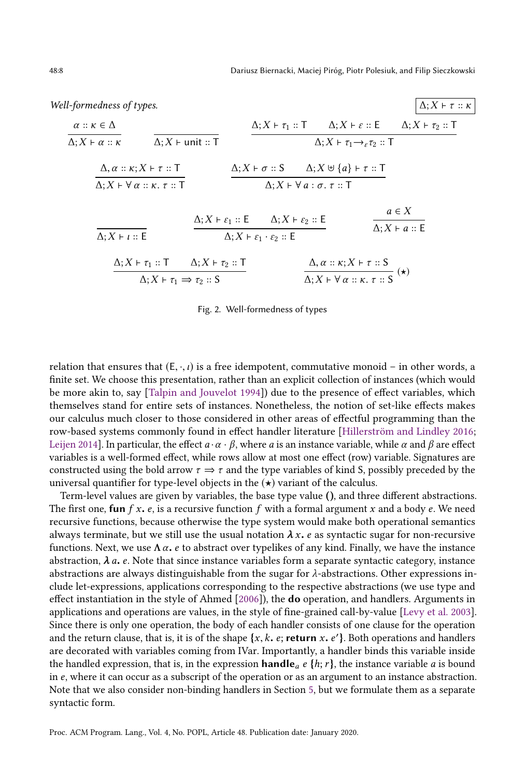<span id="page-7-0"></span>Well-formedness of types.  
\n
$$
\alpha :: \kappa \in \Delta
$$
\n
$$
\alpha :: \kappa \in \Delta
$$
\n
$$
\Delta; X \vdash \alpha :: \kappa
$$
\n
$$
\Delta; X \vdash \text{unit} :: T
$$
\n
$$
\Delta; X \vdash \tau_1 :: T
$$
\n
$$
\Delta; X \vdash \tau_1 \rightarrow_{\varepsilon} \tau_2 :: T
$$
\n
$$
\Delta; X \vdash \tau_2 :: T
$$
\n
$$
\Delta; X \vdash \tau_1 \rightarrow_{\varepsilon} \tau_2 :: T
$$
\n
$$
\Delta; X \vdash \tau_1 \rightarrow_{\varepsilon} \tau_2 :: T
$$
\n
$$
\Delta; X \vdash \tau_1 :: T
$$
\n
$$
\Delta; X \vdash \tau_1 \vdash_{\varepsilon} \tau_2 :: T
$$
\n
$$
\Delta; X \vdash \sigma :: S
$$
\n
$$
\Delta; X \vdash \forall a : \sigma. \tau :: T
$$
\n
$$
\Delta; X \vdash \forall a : \sigma. \tau :: T
$$
\n
$$
\Delta; X \vdash \forall a : \sigma. \tau :: T
$$
\n
$$
\Delta; X \vdash \varepsilon_1 :: E
$$
\n
$$
\Delta; X \vdash \varepsilon_2 :: E
$$
\n
$$
\Delta; X \vdash \varepsilon_1 \vdash \varepsilon_2 :: E
$$
\n
$$
\Delta; X \vdash \varepsilon_1 \vdash \varepsilon_2 :: E
$$

$$
\frac{\Delta; X \vdash \tau_1 :: T \qquad \Delta; X \vdash \tau_2 :: T}{\Delta; X \vdash \tau_1 \Rightarrow \tau_2 :: S} \qquad \qquad \frac{\Delta, \alpha :: \kappa; X \vdash \tau :: S}{\Delta; X \vdash \forall \alpha :: \kappa. \tau :: S} \quad (*)
$$

#### Fig. 2. Well-formedness of types

relation that ensures that  $(E, \cdot, \iota)$  is a free idempotent, commutative monoid – in other words, a finite set. We choose this presentation, rather than an explicit collection of instances (which would be more akin to, say [\[Talpin and Jouvelot](#page-27-10) [1994\]](#page-27-10)) due to the presence of effect variables, which themselves stand for entire sets of instances. Nonetheless, the notion of set-like effects makes our calculus much closer to those considered in other areas of effectful programming than the row-based systems commonly found in effect handler literature [\[Hillerström and Lindley](#page-27-2) [2016;](#page-27-2) [Leijen](#page-27-3) [2014\]](#page-27-3). In particular, the effect  $a \cdot \alpha \cdot \beta$ , where a is an instance variable, while  $\alpha$  and  $\beta$  are effect variables is a well-formed effect, while rows allow at most one effect (row) variable. Signatures are constructed using the bold arrow  $\tau \Rightarrow \tau$  and the type variables of kind S, possibly preceded by the universal quantifier for type-level objects in the  $(\star)$  variant of the calculus.

Term-level values are given by variables, the base type value (), and three different abstractions. The first one, fun  $f x$ .  $e$ , is a recursive function  $f$  with a formal argument  $x$  and a body  $e$ . We need recursive functions, because otherwise the type system would make both operational semantics always terminate, but we still use the usual notation  $\lambda x$ . e as syntactic sugar for non-recursive functions. Next, we use  $\Lambda \alpha$ . *e* to abstract over typelikes of any kind. Finally, we have the instance abstraction,  $\lambda$  a. e. Note that since instance variables form a separate syntactic category, instance abstractions are always distinguishable from the sugar for  $\lambda$ -abstractions. Other expressions include let-expressions, applications corresponding to the respective abstractions (we use type and effect instantiation in the style of Ahmed [\[2006\]](#page-26-11)), the do operation, and handlers. Arguments in applications and operations are values, in the style of fine-grained call-by-value [\[Levy et al.](#page-27-11) [2003\]](#page-27-11). Since there is only one operation, the body of each handler consists of one clause for the operation and the return clause, that is, it is of the shape  $\{x, k, e\}$ ; return x. e' }. Both operations and handlers are decorated with variables coming from  $\text{W}$ ar. Importantly, a handler binds this variable inside are decorated with variables coming from IVar. Importantly, a handler binds this variable inside the handled expression, that is, in the expression **handle**  $\alpha$  e {h; r}, the instance variable  $\alpha$  is bound in e, where it can occur as a subscript of the operation or as an argument to an instance abstraction. Note that we also consider non-binding handlers in Section [5,](#page-11-0) but we formulate them as a separate syntactic form.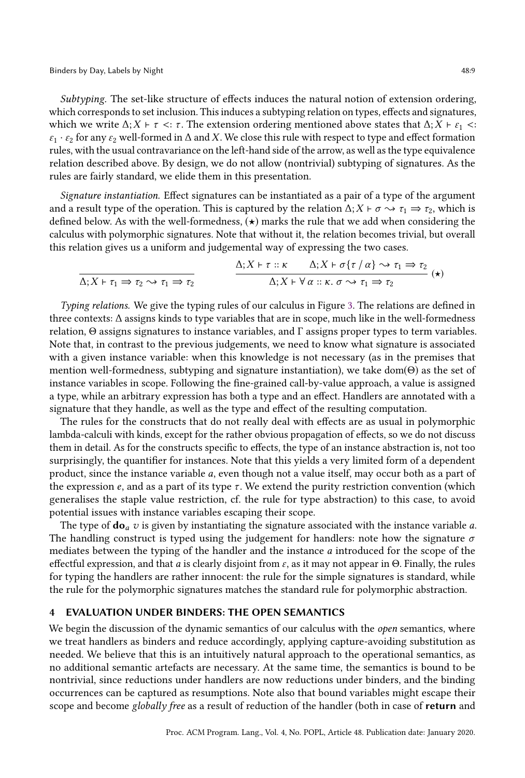Binders by Day, Labels by Night 48:9

Subtyping. The set-like structure of effects induces the natural notion of extension ordering, which corresponds to set inclusion. This induces a subtyping relation on types, effects and signatures, which we write  $\Delta$ ;  $X \vdash \tau \prec : \tau$ . The extension ordering mentioned above states that  $\Delta$ ;  $X \vdash \varepsilon_1 \prec :$  $\varepsilon_1 \cdot \varepsilon_2$  for any  $\varepsilon_2$  well-formed in  $\Delta$  and X. We close this rule with respect to type and effect formation rules, with the usual contravariance on the left-hand side of the arrow, as well as the type equivalence relation described above. By design, we do not allow (nontrivial) subtyping of signatures. As the rules are fairly standard, we elide them in this presentation.

Signature instantiation. Effect signatures can be instantiated as a pair of a type of the argument and a result type of the operation. This is captured by the relation  $\Delta$ ; X ⊢  $\sigma \rightarrow \tau_1 \Rightarrow \tau_2$ , which is defined below. As with the well-formedness,  $(\star)$  marks the rule that we add when considering the calculus with polymorphic signatures. Note that without it, the relation becomes trivial, but overall this relation gives us a uniform and judgemental way of expressing the two cases.

$$
\Delta; X \vdash \tau_1 \Rightarrow \tau_2 \rightsquigarrow \tau_1 \Rightarrow \tau_2
$$
\n
$$
\Delta; X \vdash \tau :: \kappa \qquad \Delta; X \vdash \sigma \{\tau / \alpha\} \rightsquigarrow \tau_1 \Rightarrow \tau_2
$$
\n
$$
\Delta; X \vdash \forall \alpha :: \kappa. \sigma \rightsquigarrow \tau_1 \Rightarrow \tau_2
$$
\n
$$
(*)
$$

Typing relations. We give the typing rules of our calculus in Figure [3.](#page-9-0) The relations are defined in three contexts: ∆ assigns kinds to type variables that are in scope, much like in the well-formedness relation, Θ assigns signatures to instance variables, and Γ assigns proper types to term variables. Note that, in contrast to the previous judgements, we need to know what signature is associated with a given instance variable: when this knowledge is not necessary (as in the premises that mention well-formedness, subtyping and signature instantiation), we take dom(Θ) as the set of instance variables in scope. Following the fine-grained call-by-value approach, a value is assigned a type, while an arbitrary expression has both a type and an effect. Handlers are annotated with a signature that they handle, as well as the type and effect of the resulting computation.

The rules for the constructs that do not really deal with effects are as usual in polymorphic lambda-calculi with kinds, except for the rather obvious propagation of effects, so we do not discuss them in detail. As for the constructs specific to effects, the type of an instance abstraction is, not too surprisingly, the quantifier for instances. Note that this yields a very limited form of a dependent product, since the instance variable a, even though not a value itself, may occur both as a part of the expression  $e$ , and as a part of its type  $\tau$ . We extend the purity restriction convention (which generalises the staple value restriction, cf. the rule for type abstraction) to this case, to avoid potential issues with instance variables escaping their scope.

The type of  $do_a v$  is given by instantiating the signature associated with the instance variable  $a$ . The handling construct is typed using the judgement for handlers: note how the signature  $\sigma$ mediates between the typing of the handler and the instance a introduced for the scope of the effectful expression, and that a is clearly disjoint from  $\varepsilon$ , as it may not appear in Θ. Finally, the rules for typing the handlers are rather innocent: the rule for the simple signatures is standard, while the rule for the polymorphic signatures matches the standard rule for polymorphic abstraction.

#### <span id="page-8-0"></span>4 EVALUATION UNDER BINDERS: THE OPEN SEMANTICS

We begin the discussion of the dynamic semantics of our calculus with the *open* semantics, where we treat handlers as binders and reduce accordingly, applying capture-avoiding substitution as needed. We believe that this is an intuitively natural approach to the operational semantics, as no additional semantic artefacts are necessary. At the same time, the semantics is bound to be nontrivial, since reductions under handlers are now reductions under binders, and the binding occurrences can be captured as resumptions. Note also that bound variables might escape their scope and become globally free as a result of reduction of the handler (both in case of return and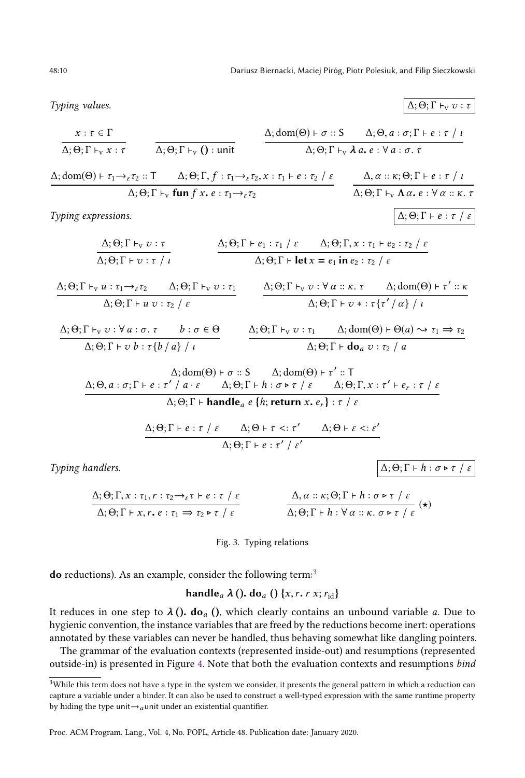48:10 Dariusz Biernacki, Maciej Piróg, Piotr Polesiuk, and Filip Sieczkowski

<span id="page-9-0"></span>Typing values.  $\Delta$ ; Θ; Γ  $\vdash_{\mathbf{v}} v : \tau$ 

$$
\frac{x:\tau \in \Gamma}{\Delta;\Theta;\Gamma \vdash_{v} x:\tau} \qquad \frac{\Delta;\text{dom}(\Theta) \vdash \sigma::S \qquad \Delta;\Theta,a:\sigma;\Gamma \vdash e:\tau / \iota}{\Delta;\Theta;\Gamma \vdash_{v} \lambda a.\ e:\forall a:\sigma,\tau}
$$

$$
\frac{\Delta; \text{dom}(\Theta) \vdash \tau_1 \rightarrow_{\varepsilon} \tau_2 :: T \qquad \Delta; \Theta; \Gamma, f :: \tau_1 \rightarrow_{\varepsilon} \tau_2, x :: \tau_1 \vdash e :: \tau_2 \;/\; \varepsilon}{\Delta; \Theta; \Gamma \vdash_v \text{fun } f x. e :: \tau_1 \rightarrow_{\varepsilon} \tau_2} \qquad \frac{\Delta, \alpha :: \kappa; \Theta; \Gamma \vdash e :: \tau \;/\; \iota}{\Delta; \Theta; \Gamma \vdash_v \Lambda \alpha. e : \forall \alpha :: \kappa. \tau}
$$

Typing expressions.  $\Delta$ ; Θ; Γ + e : τ / ε

$$
\frac{\Delta; \Theta; \Gamma \vdash_{\nu} v : \tau}{\Delta; \Theta; \Gamma \vdash v : \tau / \iota}
$$
\n
$$
\frac{\Delta; \Theta; \Gamma \vdash e_1 : \tau_1 / \varepsilon \Delta; \Theta; \Gamma, x : \tau_1 \vdash e_2 : \tau_2 / \varepsilon}{\Delta; \Theta; \Gamma \vdash \text{let } x = e_1 \text{ in } e_2 : \tau_2 / \varepsilon}
$$

 $\Delta; \Theta; \Gamma \vdash_{v} u : \tau_{1} \rightarrow_{\varepsilon} \tau_{2} \qquad \Delta; \Theta; \Gamma \vdash_{v} v : \tau_{1}$  $\Delta; \Theta; \Gamma \vdash u \ v : \tau_2 \not$   $\epsilon$  $\Delta; \Theta; \Gamma \vdash_{\mathbf{v}} v : \forall \alpha :: \kappa. \tau \qquad \Delta; \text{dom}(\Theta) \vdash \tau' :: \kappa$  $\Delta; \Theta; \Gamma \vdash v * : \tau\{\tau'\ / \alpha\} \ / \ \iota$ 

$$
\Delta; \Theta; \Gamma \vdash_{\mathbf{v}} v : \forall a : \sigma. \tau \qquad b : \sigma \in \Theta
$$
\n
$$
\Delta; \Theta; \Gamma \vdash_{\mathbf{v}} v : \tau_1 \qquad \Delta; \text{dom}(\Theta) \vdash \Theta(a) \leadsto \tau_1 \Rightarrow \tau_2
$$
\n
$$
\Delta; \Theta; \Gamma \vdash v b : \tau \{b / a\} / \iota
$$
\n
$$
\Delta; \Theta; \Gamma \vdash \textbf{do}_a v : \tau_2 / a
$$

$$
\Delta; \text{dom}(\Theta) \vdash \sigma :: S \qquad \Delta; \text{dom}(\Theta) \vdash \tau' :: T
$$
\n
$$
\Delta; \Theta, a : \sigma; \Gamma \vdash e : \tau'/a \cdot \varepsilon \qquad \Delta; \Theta; \Gamma \vdash h : \sigma \triangleright \tau / \varepsilon \qquad \Delta; \Theta; \Gamma, x : \tau' \vdash e_r : \tau / \varepsilon
$$
\n
$$
\Delta; \Theta; \Gamma \vdash \textbf{handle}_a \ e \{h; \textbf{return } x, e_r\} : \tau / \varepsilon
$$

$$
\frac{\Delta; \Theta; \Gamma \vdash e : \tau / \varepsilon \quad \Delta; \Theta \vdash \tau <: \tau' \quad \Delta; \Theta \vdash \varepsilon <: \varepsilon'}{\Delta; \Theta; \Gamma \vdash e : \tau' / \varepsilon'}
$$

Typing handlers.  $\Delta$ ; Θ; Γ + h : σ  $\triangleright \tau$  / ε

$$
\Delta; \Theta; \Gamma, x: \tau_1, r: \tau_2 \to_{\varepsilon} \tau \vdash e: \tau / \varepsilon
$$
\n
$$
\Delta; \Theta; \Gamma \vdash x, r, e: \tau_1 \Rightarrow \tau_2 \triangleright \tau / \varepsilon
$$
\n
$$
\Delta; \Theta; \Gamma \vdash h: \forall \alpha: x, \sigma \triangleright \tau / \varepsilon
$$
\n
$$
\Delta; \Theta; \Gamma \vdash h: \forall \alpha: x, \sigma \triangleright \tau / \varepsilon
$$

Fig. 3. Typing relations

do reductions). As an example, consider the following term:<sup>[3](#page-9-1)</sup>

## handle<sub>a</sub>  $\lambda$  (). do<sub>a</sub> () {x, r. r x; r<sub>id</sub>}

It reduces in one step to  $\lambda$  (). do<sub>a</sub> (), which clearly contains an unbound variable a. Due to hygienic convention, the instance variables that are freed by the reductions become inert: operations annotated by these variables can never be handled, thus behaving somewhat like dangling pointers.

The grammar of the evaluation contexts (represented inside-out) and resumptions (represented outside-in) is presented in Figure [4.](#page-10-0) Note that both the evaluation contexts and resumptions bind

<span id="page-9-1"></span> $3$ While this term does not have a type in the system we consider, it presents the general pattern in which a reduction can capture a variable under a binder. It can also be used to construct a well-typed expression with the same runtime property by hiding the type unit $\rightarrow$ <sub>a</sub>unit under an existential quantifier.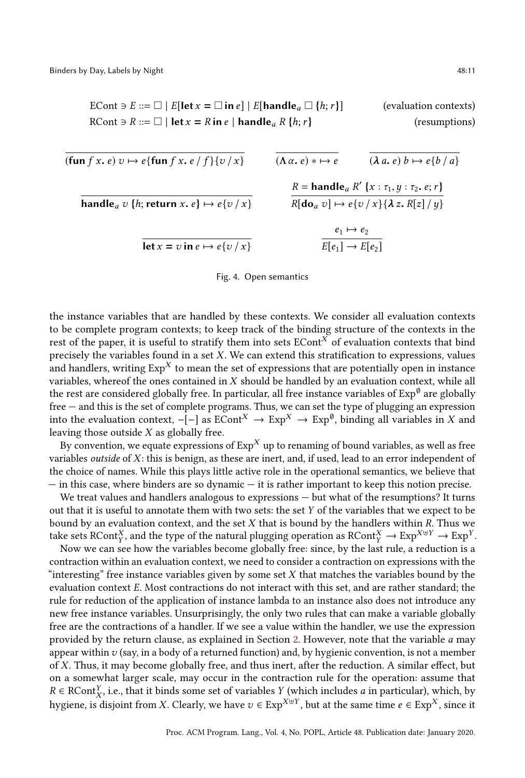<span id="page-10-0"></span>ECont 
$$
\ni E ::= \Box \mid E[\text{let } x = \Box \text{ in } e] \mid E[\text{handle}_a \Box \{h; r\}]
$$
 (evaluation contexts)  
RCont  $\ni R ::= \Box \mid \text{let } x = R \text{ in } e \mid \text{handle}_a R \{h; r\}$  (resumptions)

$$
(fun f x. e) v \mapsto e \{fun f x. e / f\} \{v / x\}
$$
\n
$$
(A \alpha. e) * \mapsto e
$$
\n
$$
(A \alpha. e) * \mapsto e
$$
\n
$$
(A \alpha. e) b \mapsto e \{b / a\}
$$
\n
$$
R = handle_a R' \{x : \tau_1, y : \tau_2, e; r\}
$$
\n
$$
R[do_a v] \mapsto e \{v / x\} \{A z. R[z] / y\}
$$
\n
$$
let x = v in e \mapsto e \{v / x\}
$$
\n
$$
E[e_1] \mapsto E[e_2]
$$

#### Fig. 4. Open semantics

the instance variables that are handled by these contexts. We consider all evaluation contexts to be complete program contexts; to keep track of the binding structure of the contexts in the rest of the paper, it is useful to stratify them into sets  $ECont<sup>X</sup>$  of evaluation contexts that bind precisely the variables found in a set  $X$ . We can extend this stratification to expressions, values and handlers, writing  $Exp<sup>X</sup>$  to mean the set of expressions that are potentially open in instance variables, whereof the ones contained in  $X$  should be handled by an evaluation context, while all the rest are considered globally free. In particular, all free instance variables of  $\mathop{\rm Exp}\nolimits^{\emptyset}$  are globally free — and this is the set of complete programs. Thus, we can set the type of plugging an expression into the evaluation context,  $-[-]$  as  $ECont^X \to Exp^X \to Exp^{\emptyset}$ , binding all variables in X and leaving those outside X as globally free.

By convention, we equate expressions of  $Exp<sup>X</sup>$  up to renaming of bound variables, as well as free variables *outside* of  $X$ : this is benign, as these are inert, and, if used, lead to an error independent of the choice of names. While this plays little active role in the operational semantics, we believe that — in this case, where binders are so dynamic — it is rather important to keep this notion precise.

We treat values and handlers analogous to expressions — but what of the resumptions? It turns out that it is useful to annotate them with two sets: the set Y of the variables that we expect to be bound by an evaluation context, and the set  $X$  that is bound by the handlers within  $R$ . Thus we take sets RCont<sup>X</sup>, and the type of the natural plugging operation as  $RCont_X^X \to Exp^{X \oplus Y} \to Exp^Y$ .<br>Now we can see how the variables become globally free; since by the last rule, a reduction is a

Y Now we can see how the variables become globally free: since, by the last rule, a reduction is a contraction within an evaluation context, we need to consider a contraction on expressions with the "interesting" free instance variables given by some set  $X$  that matches the variables bound by the evaluation context E. Most contractions do not interact with this set, and are rather standard; the rule for reduction of the application of instance lambda to an instance also does not introduce any new free instance variables. Unsurprisingly, the only two rules that can make a variable globally free are the contractions of a handler. If we see a value within the handler, we use the expression provided by the return clause, as explained in Section [2.](#page-3-0) However, note that the variable a may appear within  $v$  (say, in a body of a returned function) and, by hygienic convention, is not a member of X. Thus, it may become globally free, and thus inert, after the reduction. A similar effect, but on a somewhat larger scale, may occur in the contraction rule for the operation: assume that  $R \in \text{RCont}_{X}^{Y}$ , i.e., that it binds some set of variables Y (which includes a in particular), which, by hygiene, is disjoint from X. Clearly, we have  $v \in Exp^{X\oplus Y}$ , but at the same time  $e \in Exp^X$ , since it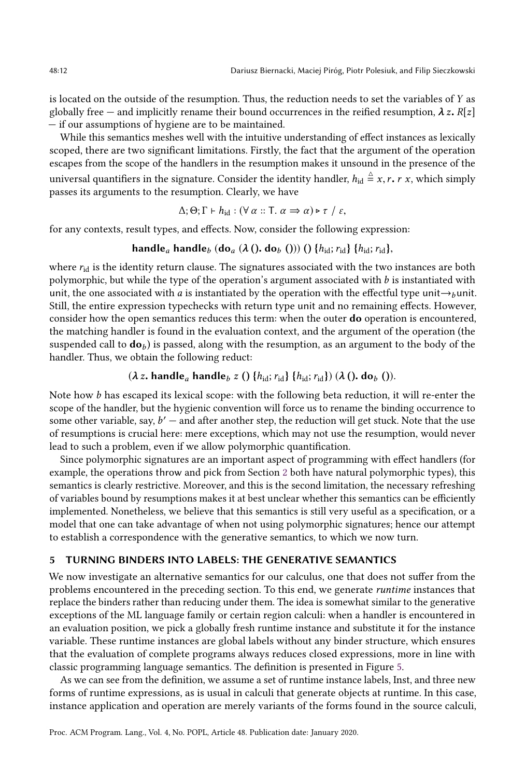is located on the outside of the resumption. Thus, the reduction needs to set the variables of Y as globally free — and implicitly rename their bound occurrences in the reified resumption,  $\lambda z$ .  $R[z]$ — if our assumptions of hygiene are to be maintained.

While this semantics meshes well with the intuitive understanding of effect instances as lexically scoped, there are two significant limitations. Firstly, the fact that the argument of the operation escapes from the scope of the handlers in the resumption makes it unsound in the presence of the universal quantifiers in the signature. Consider the identity handler,  $h_{id} \stackrel{\Delta}{=} x, r, r, x$ , which simply passes its arguments to the resumption. Clearly, we have

$$
\Delta; \Theta; \Gamma \vdash h_{\text{id}} : (\forall \alpha :: \mathsf{T}.\ \alpha \Rightarrow \alpha) \triangleright \tau \ / \ \varepsilon,
$$

for any contexts, result types, and effects. Now, consider the following expression:

#### handle<sub>a</sub> handle<sub>b</sub> (do<sub>a</sub> ( $\lambda$  (). do<sub>b</sub> ())) () { $h_{\text{id}}$ ;  $r_{\text{id}}$ } { $h_{\text{id}}$ ;  $r_{\text{id}}$ },

where  $r_{id}$  is the identity return clause. The signatures associated with the two instances are both polymorphic, but while the type of the operation's argument associated with  $b$  is instantiated with unit, the one associated with a is instantiated by the operation with the effectful type unit $\rightarrow$ bunit. Still, the entire expression typechecks with return type unit and no remaining effects. However, consider how the open semantics reduces this term: when the outer do operation is encountered, the matching handler is found in the evaluation context, and the argument of the operation (the suspended call to  $\mathbf{d}\mathbf{o}_b$  is passed, along with the resumption, as an argument to the body of the handler. Thus, we obtain the following reduct:

## $(\lambda z. \text{ handle}_a \text{ handle}_b z ()$  { $h_{\text{id}}; r_{\text{id}}$ } { $h_{\text{id}}; r_{\text{id}}$ }) ( $\lambda$  (). do<sub>b</sub> ()).

Note how b has escaped its lexical scope: with the following beta reduction, it will re-enter the scope of the handler, but the hygienic convention will force us to rename the binding occurrence to some other variable, say,  $b'$  – and after another step, the reduction will get stuck. Note that the use of resumptions is crucial here: mere exceptions, which may not use the resumption, would never lead to such a problem, even if we allow polymorphic quantification.

Since polymorphic signatures are an important aspect of programming with effect handlers (for example, the operations throw and pick from Section [2](#page-3-0) both have natural polymorphic types), this semantics is clearly restrictive. Moreover, and this is the second limitation, the necessary refreshing of variables bound by resumptions makes it at best unclear whether this semantics can be efficiently implemented. Nonetheless, we believe that this semantics is still very useful as a specification, or a model that one can take advantage of when not using polymorphic signatures; hence our attempt to establish a correspondence with the generative semantics, to which we now turn.

#### <span id="page-11-0"></span>5 TURNING BINDERS INTO LABELS: THE GENERATIVE SEMANTICS

We now investigate an alternative semantics for our calculus, one that does not suffer from the problems encountered in the preceding section. To this end, we generate runtime instances that replace the binders rather than reducing under them. The idea is somewhat similar to the generative exceptions of the ML language family or certain region calculi: when a handler is encountered in an evaluation position, we pick a globally fresh runtime instance and substitute it for the instance variable. These runtime instances are global labels without any binder structure, which ensures that the evaluation of complete programs always reduces closed expressions, more in line with classic programming language semantics. The definition is presented in Figure [5.](#page-12-0)

As we can see from the definition, we assume a set of runtime instance labels, Inst, and three new forms of runtime expressions, as is usual in calculi that generate objects at runtime. In this case, instance application and operation are merely variants of the forms found in the source calculi,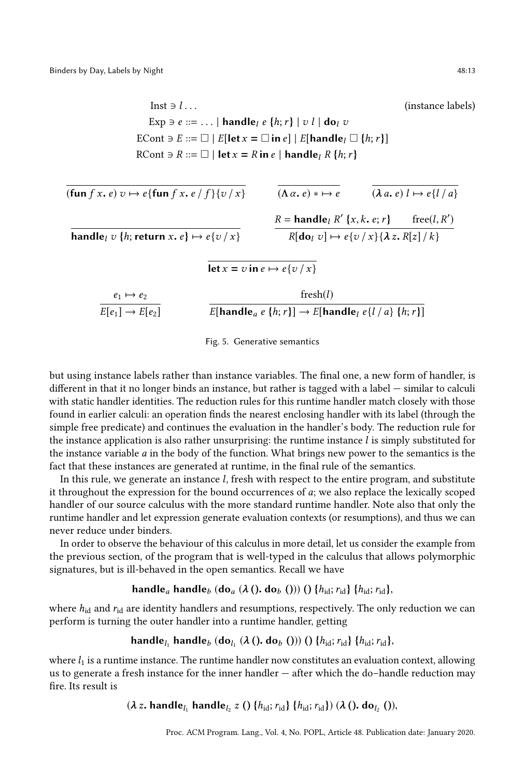<span id="page-12-0"></span>Inst  $\exists l \dots$  (instance labels) Exp  $\exists e ::= \dots | \mathbf{handle}_l e \{h; r\} | v l | \mathbf{do}_l v$ ECont  $\ni E ::= \Box | E[let x = \Box in e] | E[handle] \Box \{h; r\}]$ RCont  $\ni$  R ::=  $\Box$  | let  $x = R$  in e | handle<sub>l</sub> R {h; r}

$$
\overline{t(\text{fun } f x, e) v \mapsto e\{\text{fun } f x, e/f\} \{v/x\}} \qquad \overline{(\Lambda \alpha, e) * \mapsto e} \qquad \overline{(\lambda a, e) l \mapsto e\{l/a\}}
$$
\n
$$
\overline{\text{handle}_l v \{h; \text{return } x, e\} \mapsto e\{v/x\}} \qquad \overline{R = \text{handle}_l R' \{x, k, e; r\} \qquad \text{free}(l, R')
$$
\n
$$
\overline{\text{let } x = v \text{ in } e \mapsto e\{v/x\}} \qquad \overline{R[\text{do}_l v] \mapsto e\{v/x\} \{\lambda z, R[z]/k\}}
$$
\n
$$
\frac{e_1 \mapsto e_2}{E[e_1] \mapsto E[e_2]} \qquad \overline{E[\text{handle}_a e \{h; r\}] \mapsto E[\text{handle}_l e\{l/a\} \{h; r\}]}
$$

Fig. 5. Generative semantics

but using instance labels rather than instance variables. The final one, a new form of handler, is different in that it no longer binds an instance, but rather is tagged with a label — similar to calculi with static handler identities. The reduction rules for this runtime handler match closely with those found in earlier calculi: an operation finds the nearest enclosing handler with its label (through the simple free predicate) and continues the evaluation in the handler's body. The reduction rule for the instance application is also rather unsurprising: the runtime instance  $l$  is simply substituted for the instance variable  $a$  in the body of the function. What brings new power to the semantics is the fact that these instances are generated at runtime, in the final rule of the semantics.

In this rule, we generate an instance l, fresh with respect to the entire program, and substitute it throughout the expression for the bound occurrences of  $a$ ; we also replace the lexically scoped handler of our source calculus with the more standard runtime handler. Note also that only the runtime handler and let expression generate evaluation contexts (or resumptions), and thus we can never reduce under binders.

In order to observe the behaviour of this calculus in more detail, let us consider the example from the previous section, of the program that is well-typed in the calculus that allows polymorphic signatures, but is ill-behaved in the open semantics. Recall we have

## handle<sub>a</sub> handle<sub>b</sub> (do<sub>a</sub> ( $\lambda$  (). do<sub>b</sub> ())) () { $h_{\text{id}}$ ;  $r_{\text{id}}$ }, { $h_{\text{id}}$ ;  $r_{\text{id}}$ },

where  $h_{\rm id}$  and  $r_{\rm id}$  are identity handlers and resumptions, respectively. The only reduction we can perform is turning the outer handler into a runtime handler, getting

handle $_{l_1}$  handle $_b$  (do $_{l_1}$  ( $\lambda$  (). do $_b$  ())) ()  $\{h_{\rm id}; r_{\rm id}\}$   $\{h_{\rm id}; r_{\rm id}\}$ ,

where  $l_1$  is a runtime instance. The runtime handler now constitutes an evaluation context, allowing us to generate a fresh instance for the inner handler — after which the do–handle reduction may fire. Its result is

 $(\lambda z. \text{ handle}_{l_1} \text{ handle}_{l_2} z() \{h_{\text{id}}; r_{\text{id}}\} \{h_{\text{id}}; r_{\text{id}}\}) (\lambda() \text{. do}_{l_2})),$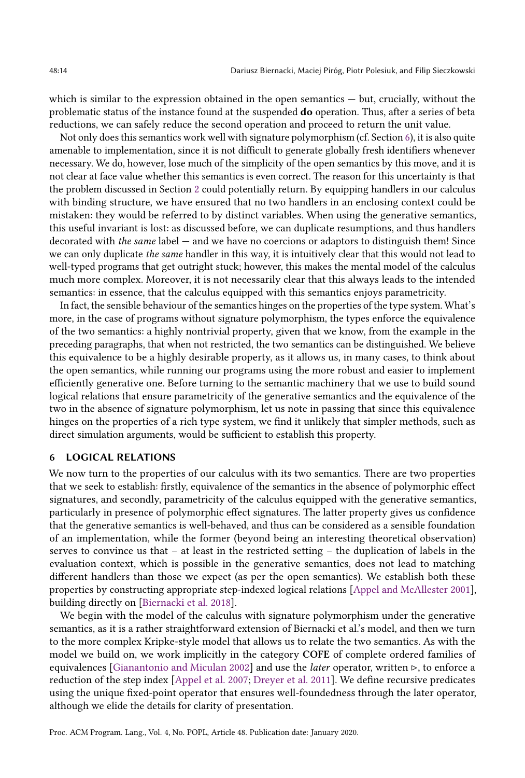which is similar to the expression obtained in the open semantics — but, crucially, without the problematic status of the instance found at the suspended do operation. Thus, after a series of beta reductions, we can safely reduce the second operation and proceed to return the unit value.

Not only does this semantics work well with signature polymorphism (cf. Section [6\)](#page-13-0), it is also quite amenable to implementation, since it is not difficult to generate globally fresh identifiers whenever necessary. We do, however, lose much of the simplicity of the open semantics by this move, and it is not clear at face value whether this semantics is even correct. The reason for this uncertainty is that the problem discussed in Section [2](#page-3-0) could potentially return. By equipping handlers in our calculus with binding structure, we have ensured that no two handlers in an enclosing context could be mistaken: they would be referred to by distinct variables. When using the generative semantics, this useful invariant is lost: as discussed before, we can duplicate resumptions, and thus handlers decorated with the same label — and we have no coercions or adaptors to distinguish them! Since we can only duplicate the same handler in this way, it is intuitively clear that this would not lead to well-typed programs that get outright stuck; however, this makes the mental model of the calculus much more complex. Moreover, it is not necessarily clear that this always leads to the intended semantics: in essence, that the calculus equipped with this semantics enjoys parametricity.

In fact, the sensible behaviour of the semantics hinges on the properties of the type system. What's more, in the case of programs without signature polymorphism, the types enforce the equivalence of the two semantics: a highly nontrivial property, given that we know, from the example in the preceding paragraphs, that when not restricted, the two semantics can be distinguished. We believe this equivalence to be a highly desirable property, as it allows us, in many cases, to think about the open semantics, while running our programs using the more robust and easier to implement efficiently generative one. Before turning to the semantic machinery that we use to build sound logical relations that ensure parametricity of the generative semantics and the equivalence of the two in the absence of signature polymorphism, let us note in passing that since this equivalence hinges on the properties of a rich type system, we find it unlikely that simpler methods, such as direct simulation arguments, would be sufficient to establish this property.

#### <span id="page-13-0"></span>6 LOGICAL RELATIONS

We now turn to the properties of our calculus with its two semantics. There are two properties that we seek to establish: firstly, equivalence of the semantics in the absence of polymorphic effect signatures, and secondly, parametricity of the calculus equipped with the generative semantics, particularly in presence of polymorphic effect signatures. The latter property gives us confidence that the generative semantics is well-behaved, and thus can be considered as a sensible foundation of an implementation, while the former (beyond being an interesting theoretical observation) serves to convince us that – at least in the restricted setting – the duplication of labels in the evaluation context, which is possible in the generative semantics, does not lead to matching different handlers than those we expect (as per the open semantics). We establish both these properties by constructing appropriate step-indexed logical relations [\[Appel and McAllester](#page-26-12) [2001\]](#page-26-12), building directly on [\[Biernacki et al.](#page-26-6) [2018\]](#page-26-6).

We begin with the model of the calculus with signature polymorphism under the generative semantics, as it is a rather straightforward extension of Biernacki et al.'s model, and then we turn to the more complex Kripke-style model that allows us to relate the two semantics. As with the model we build on, we work implicitly in the category COFE of complete ordered families of equivalences [\[Gianantonio and Miculan](#page-26-13) [2002\]](#page-26-13) and use the *later* operator, written  $\triangleright$ , to enforce a reduction of the step index [\[Appel et al.](#page-26-14) [2007;](#page-26-14) [Dreyer et al.](#page-26-15) [2011\]](#page-26-15). We define recursive predicates using the unique fixed-point operator that ensures well-foundedness through the later operator, although we elide the details for clarity of presentation.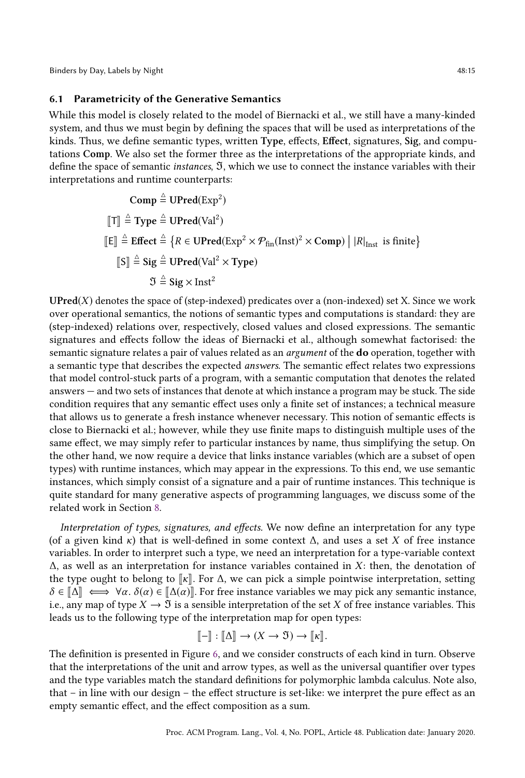Binders by Day, Labels by Night 48:15

#### <span id="page-14-0"></span>6.1 Parametricity of the Generative Semantics

While this model is closely related to the model of Biernacki et al., we still have a many-kinded system, and thus we must begin by defining the spaces that will be used as interpretations of the kinds. Thus, we define semantic types, written Type, effects, Effect, signatures, Sig, and computations Comp. We also set the former three as the interpretations of the appropriate kinds, and define the space of semantic instances, ℑ, which we use to connect the instance variables with their interpretations and runtime counterparts:

Comp 
$$
\stackrel{\triangle}{=}
$$
 UPred(Exp<sup>2</sup>)  
\n[T]  $\stackrel{\triangle}{=}$  Type  $\stackrel{\triangle}{=}$  UPred(Val<sup>2</sup>)  
\n[E]  $\stackrel{\triangle}{=}$  Effect  $\stackrel{\triangle}{=}$  { $R \in$  UPred(Exp<sup>2</sup> × P<sub>fin</sub>(Inst)<sup>2</sup> × Comp) | |R|<sub>Inst</sub> is finite}  
\n[S]  $\stackrel{\triangle}{=}$  Sig  $\stackrel{\triangle}{=}$  UPred(Val<sup>2</sup> × Type)  
\n $\mathfrak{I} \stackrel{\triangle}{=}$  Sig × Inst<sup>2</sup>

 $UPred(X)$  denotes the space of (step-indexed) predicates over a (non-indexed) set X. Since we work over operational semantics, the notions of semantic types and computations is standard: they are (step-indexed) relations over, respectively, closed values and closed expressions. The semantic signatures and effects follow the ideas of Biernacki et al., although somewhat factorised: the semantic signature relates a pair of values related as an *argument* of the **do** operation, together with a semantic type that describes the expected answers. The semantic effect relates two expressions that model control-stuck parts of a program, with a semantic computation that denotes the related answers — and two sets of instances that denote at which instance a program may be stuck. The side condition requires that any semantic effect uses only a finite set of instances; a technical measure that allows us to generate a fresh instance whenever necessary. This notion of semantic effects is close to Biernacki et al.; however, while they use finite maps to distinguish multiple uses of the same effect, we may simply refer to particular instances by name, thus simplifying the setup. On the other hand, we now require a device that links instance variables (which are a subset of open types) with runtime instances, which may appear in the expressions. To this end, we use semantic instances, which simply consist of a signature and a pair of runtime instances. This technique is quite standard for many generative aspects of programming languages, we discuss some of the related work in Section [8.](#page-23-0)

Interpretation of types, signatures, and effects. We now define an interpretation for any type (of a given kind  $\kappa$ ) that is well-defined in some context  $\Delta$ , and uses a set X of free instance variables. In order to interpret such a type, we need an interpretation for a type-variable context  $\Delta$ , as well as an interpretation for instance variables contained in X: then, the denotation of the type ought to belong to  $\lceil \kappa \rceil$ . For  $\Delta$ , we can pick a simple pointwise interpretation, setting  $\delta \in [\![\Delta]\!] \iff \forall \alpha$ .  $\delta(\alpha) \in [\![\Delta(\alpha)]\!]$ . For free instance variables we may pick any semantic instance, i.e., any map of type  $X \to \mathfrak{I}$  is a sensible interpretation of the set X of free instance variables. This leads us to the following type of the interpretation map for open types:

$$
[\![-\!] : [\![\Delta]\!] \to (X \to \mathfrak{I}) \to [\![\kappa]\!].
$$

The definition is presented in Figure [6,](#page-15-0) and we consider constructs of each kind in turn. Observe that the interpretations of the unit and arrow types, as well as the universal quantifier over types and the type variables match the standard definitions for polymorphic lambda calculus. Note also, that – in line with our design – the effect structure is set-like: we interpret the pure effect as an empty semantic effect, and the effect composition as a sum.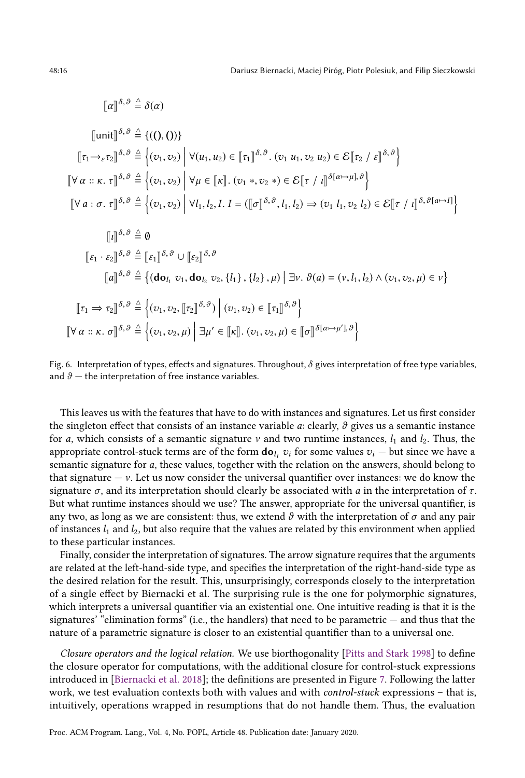$$
[\![\alpha]\!]^{\delta,\vartheta} \stackrel{\scriptscriptstyle\triangle}{=} \delta(\alpha)
$$

$$
\llbracket \text{unit} \rrbracket^{\delta, \vartheta} \triangleq \{((0, 0))\}
$$
\n
$$
\llbracket \tau_1 \rightarrow_{\varepsilon} \tau_2 \rrbracket^{\delta, \vartheta} \triangleq \Big\{ (v_1, v_2) \Big| \forall (u_1, u_2) \in \llbracket \tau_1 \rrbracket^{\delta, \vartheta} . (v_1 u_1, v_2 u_2) \in \mathcal{E} \llbracket \tau_2 / \varepsilon \rrbracket^{\delta, \vartheta} \Big\}
$$
\n
$$
\llbracket \forall \alpha :: \kappa. \tau \rrbracket^{\delta, \vartheta} \triangleq \Big\{ (v_1, v_2) \Big| \forall \mu \in \llbracket \kappa \rrbracket . (v_1 *, v_2 * ) \in \mathcal{E} \llbracket \tau / \iota \rrbracket^{\delta(\alpha \mapsto \mu], \vartheta} \Big\}
$$
\n
$$
\llbracket \forall a : \sigma. \tau \rrbracket^{\delta, \vartheta} \triangleq \Big\{ (v_1, v_2) \Big| \forall l_1, l_2, l. I = (\llbracket \sigma \rrbracket^{\delta, \vartheta}, l_1, l_2) \Rightarrow (v_1 l_1, v_2 l_2) \in \mathcal{E} \llbracket \tau / \iota \rrbracket^{\delta, \vartheta[\alpha \mapsto I]} \Big\}
$$
\n
$$
\llbracket \iota \rrbracket^{\delta, \vartheta} \triangleq \emptyset
$$
\n
$$
\llbracket \varepsilon_1 \cdot \varepsilon_2 \rrbracket^{\delta, \vartheta} \triangleq \Big\{ (\mathbf{do}_{l_1} v_1, \mathbf{do}_{l_2} v_2, \{l_1\}, \{l_2\}, \mu) \Big| \exists \nu. \vartheta(a) = (\nu, l_1, l_2) \land (v_1, v_2, \mu) \in \nu \Big\}
$$
\n
$$
\llbracket \tau_1 \Rightarrow \tau_2 \rrbracket^{\delta, \vartheta} \triangleq \Big\{ (v_1, v_2, \llbracket \tau_2 \rrbracket^{\delta, \vartheta}) \Big| (v_1, v_2) \in \llbracket \tau_1 \rrbracket^{\delta, \vartheta} \Big\}
$$
\n
$$
\llbracket \forall \alpha :: \kappa. \sigma \rrbracket^{\delta
$$

Fig. 6. Interpretation of types, effects and signatures. Throughout,  $\delta$  gives interpretation of free type variables, and  $\theta$  – the interpretation of free instance variables.

This leaves us with the features that have to do with instances and signatures. Let us first consider the singleton effect that consists of an instance variable  $a$ : clearly,  $\vartheta$  gives us a semantic instance for a, which consists of a semantic signature  $\nu$  and two runtime instances,  $l_1$  and  $l_2$ . Thus, the appropriate control-stuck terms are of the form  $\mathbf{do}_{l_i} v_i$  for some values  $v_i$  — but since we have a<br>comentic signature for a these values together with the relation on the energy should belong to semantic signature for a, these values, together with the relation on the answers, should belong to that signature  $-v$ . Let us now consider the universal quantifier over instances: we do know the signature  $\sigma$ , and its interpretation should clearly be associated with a in the interpretation of  $\tau$ . But what runtime instances should we use? The answer, appropriate for the universal quantifier, is any two, as long as we are consistent: thus, we extend  $\vartheta$  with the interpretation of  $\sigma$  and any pair of instances  $l_1$  and  $l_2$ , but also require that the values are related by this environment when applied to these particular instances.

Finally, consider the interpretation of signatures. The arrow signature requires that the arguments are related at the left-hand-side type, and specifies the interpretation of the right-hand-side type as the desired relation for the result. This, unsurprisingly, corresponds closely to the interpretation of a single effect by Biernacki et al. The surprising rule is the one for polymorphic signatures, which interprets a universal quantifier via an existential one. One intuitive reading is that it is the signatures' "elimination forms" (i.e., the handlers) that need to be parametric — and thus that the nature of a parametric signature is closer to an existential quantifier than to a universal one.

Closure operators and the logical relation. We use biorthogonality [\[Pitts and Stark](#page-27-12) [1998\]](#page-27-12) to define the closure operator for computations, with the additional closure for control-stuck expressions introduced in [\[Biernacki et al.](#page-26-6) [2018\]](#page-26-6); the definitions are presented in Figure [7.](#page-16-0) Following the latter work, we test evaluation contexts both with values and with control-stuck expressions – that is, intuitively, operations wrapped in resumptions that do not handle them. Thus, the evaluation

<span id="page-15-0"></span>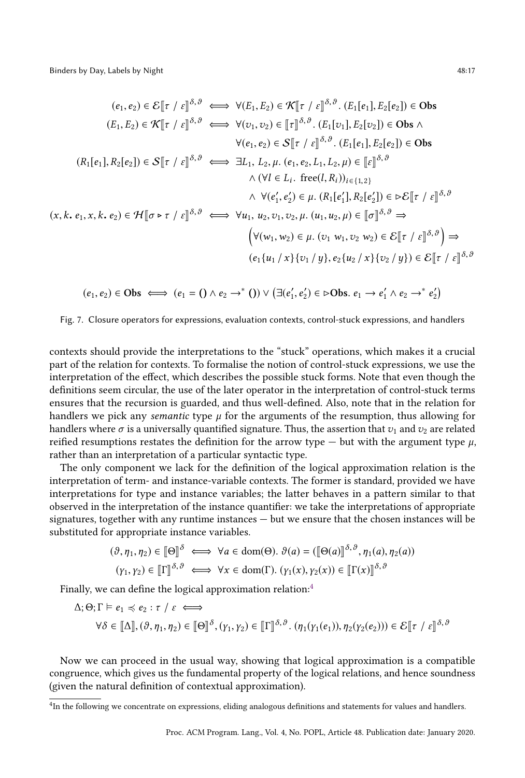<span id="page-16-0"></span>
$$
(e_1, e_2) \in \mathcal{E}[[\tau / \varepsilon]]^{\delta, \vartheta} \iff \forall (E_1, E_2) \in \mathcal{K}[[\tau / \varepsilon]]^{\delta, \vartheta}. (E_1[e_1], E_2[e_2]) \in \text{Obs}
$$
  
\n
$$
(E_1, E_2) \in \mathcal{K}[[\tau / \varepsilon]]^{\delta, \vartheta} \iff \forall (v_1, v_2) \in [\tau]^{\delta, \vartheta}. (E_1[v_1], E_2[v_2]) \in \text{Obs} \land \forall (e_1, e_2) \in \mathcal{S}[[\tau / \varepsilon]]^{\delta, \vartheta}. (E_1[e_1], E_2[e_2]) \in \text{Obs}
$$
  
\n
$$
(R_1[e_1], R_2[e_2]) \in \mathcal{S}[[\tau / \varepsilon]]^{\delta, \vartheta} \iff \exists L_1, L_2, \mu. (e_1, e_2, L_1, L_2, \mu) \in [\varepsilon]]^{\delta, \vartheta}
$$
  
\n
$$
\land (\forall l \in L_i. \text{ free}(l, R_i))_{i \in \{1, 2\}}
$$
  
\n
$$
\land \forall (e'_1, e'_2) \in \mu. (R_1[e'_1], R_2[e'_2]) \in \triangleright \mathcal{E}[[\tau / \varepsilon]]^{\delta, \vartheta}
$$
  
\n
$$
(x, k, e_1, x, k, e_2) \in \mathcal{H}[[\sigma \triangleright \tau / \varepsilon]]^{\delta, \vartheta} \iff \forall u_1, u_2, v_1, v_2, \mu. (u_1, u_2, \mu) \in [[\sigma]]^{\delta, \vartheta} \Rightarrow \forall (v_1, w_2) \in \mu. (v_1 w_1, v_2 w_2) \in \mathcal{E}[[\tau / \varepsilon]]^{\delta, \vartheta}] \Rightarrow
$$
  
\n
$$
(e_1\{u_1 / x\}\{v_1 / y\}, e_2\{u_2 / x\}\{v_2 / y\}) \in \mathcal{E}[[\tau / \varepsilon]]^{\delta, \vartheta}
$$

$$
(e_1, e_2) \in \text{Obs} \iff (e_1 = () \land e_2 \rightarrow^* () ) \lor (\exists (e'_1, e'_2) \in \text{>Obs}. e_1 \rightarrow e'_1 \land e_2 \rightarrow^* e'_2)
$$

Fig. 7. Closure operators for expressions, evaluation contexts, control-stuck expressions, and handlers

contexts should provide the interpretations to the "stuck" operations, which makes it a crucial part of the relation for contexts. To formalise the notion of control-stuck expressions, we use the interpretation of the effect, which describes the possible stuck forms. Note that even though the definitions seem circular, the use of the later operator in the interpretation of control-stuck terms ensures that the recursion is guarded, and thus well-defined. Also, note that in the relation for handlers we pick any *semantic* type  $\mu$  for the arguments of the resumption, thus allowing for handlers where  $\sigma$  is a universally quantified signature. Thus, the assertion that  $v_1$  and  $v_2$  are related reified resumptions restates the definition for the arrow type — but with the argument type  $\mu$ , rather than an interpretation of a particular syntactic type.

The only component we lack for the definition of the logical approximation relation is the interpretation of term- and instance-variable contexts. The former is standard, provided we have interpretations for type and instance variables; the latter behaves in a pattern similar to that observed in the interpretation of the instance quantifier: we take the interpretations of appropriate signatures, together with any runtime instances — but we ensure that the chosen instances will be substituted for appropriate instance variables.

$$
(\vartheta, \eta_1, \eta_2) \in [\![\Theta]\!]^\delta \iff \forall a \in \text{dom}(\Theta). \ \vartheta(a) = ([\![\Theta(a)]\!]^{\delta, \vartheta}, \eta_1(a), \eta_2(a))
$$

$$
(\gamma_1, \gamma_2) \in [\![\Gamma]\!]^{\delta, \vartheta} \iff \forall x \in \text{dom}(\Gamma). \ (\gamma_1(x), \gamma_2(x)) \in [\![\Gamma(x)]\!]^{\delta, \vartheta}
$$

Finally, we can define the logical approximation relation:<sup>[4](#page-16-1)</sup>

$$
\Delta; \Theta; \Gamma \vDash e_1 \preccurlyeq e_2 : \tau / \varepsilon \iff
$$
\n
$$
\forall \delta \in [\![\Delta]\!], (\vartheta, \eta_1, \eta_2) \in [\![\Theta]\!]^{\delta}, (\gamma_1, \gamma_2) \in [\![\Gamma]\!]^{\delta, \vartheta}. (\eta_1(\gamma_1(e_1)), \eta_2(\gamma_2(e_2))) \in \mathcal{E}[\![\tau / \varepsilon]\!]^{\delta, \vartheta}
$$

Now we can proceed in the usual way, showing that logical approximation is a compatible congruence, which gives us the fundamental property of the logical relations, and hence soundness (given the natural definition of contextual approximation).

<span id="page-16-1"></span><sup>4</sup> In the following we concentrate on expressions, eliding analogous definitions and statements for values and handlers.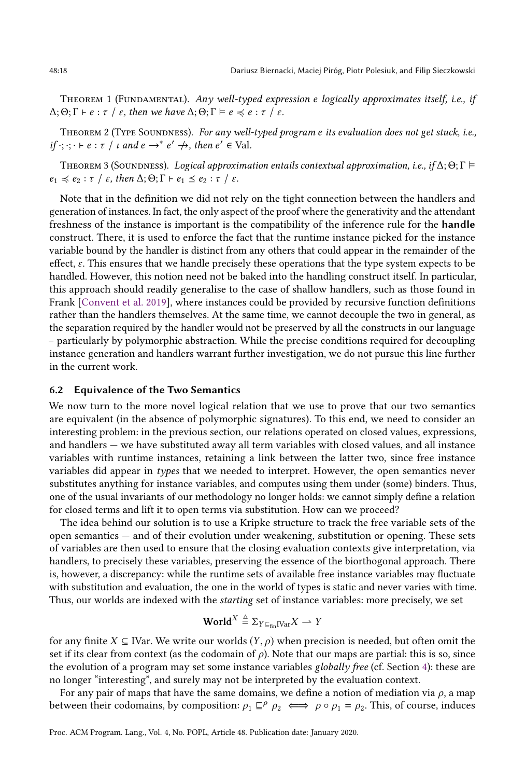THEOREM 1 (FUNDAMENTAL). Any well-typed expression e logically approximates itself, i.e., if  $\Delta; \Theta; \Gamma \vdash e : \tau \neq \varepsilon$ , then we have  $\Delta; \Theta; \Gamma \vDash e \preccurlyeq e : \tau \neq \varepsilon$ .

THEOREM 2 (TYPE SOUNDNESS). For any well-typed program e its evaluation does not get stuck, i.e., if  $\cdot; \cdot \cdot \vdash e : \tau \mid \iota$  and  $e \rightarrow^* e' \nrightarrow$ , then  $e' \in$  Val.

THEOREM 3 (SOUNDNESS). Logical approximation entails contextual approximation, i.e., if  $\Delta$ ;  $\Theta$ ;  $\Gamma \models$  $e_1 \preccurlyeq e_2 : \tau \neq \varepsilon$ , then  $\Delta; \Theta; \Gamma \vdash e_1 \leq e_2 : \tau \neq \varepsilon$ .

Note that in the definition we did not rely on the tight connection between the handlers and generation of instances. In fact, the only aspect of the proof where the generativity and the attendant freshness of the instance is important is the compatibility of the inference rule for the handle construct. There, it is used to enforce the fact that the runtime instance picked for the instance variable bound by the handler is distinct from any others that could appear in the remainder of the effect, ε. This ensures that we handle precisely these operations that the type system expects to be handled. However, this notion need not be baked into the handling construct itself. In particular, this approach should readily generalise to the case of shallow handlers, such as those found in Frank [\[Convent et al.](#page-26-5) [2019\]](#page-26-5), where instances could be provided by recursive function definitions rather than the handlers themselves. At the same time, we cannot decouple the two in general, as the separation required by the handler would not be preserved by all the constructs in our language – particularly by polymorphic abstraction. While the precise conditions required for decoupling instance generation and handlers warrant further investigation, we do not pursue this line further in the current work.

## 6.2 Equivalence of the Two Semantics

We now turn to the more novel logical relation that we use to prove that our two semantics are equivalent (in the absence of polymorphic signatures). To this end, we need to consider an interesting problem: in the previous section, our relations operated on closed values, expressions, and handlers — we have substituted away all term variables with closed values, and all instance variables with runtime instances, retaining a link between the latter two, since free instance variables did appear in types that we needed to interpret. However, the open semantics never substitutes anything for instance variables, and computes using them under (some) binders. Thus, one of the usual invariants of our methodology no longer holds: we cannot simply define a relation for closed terms and lift it to open terms via substitution. How can we proceed?

The idea behind our solution is to use a Kripke structure to track the free variable sets of the open semantics — and of their evolution under weakening, substitution or opening. These sets of variables are then used to ensure that the closing evaluation contexts give interpretation, via handlers, to precisely these variables, preserving the essence of the biorthogonal approach. There is, however, a discrepancy: while the runtime sets of available free instance variables may fluctuate with substitution and evaluation, the one in the world of types is static and never varies with time. Thus, our worlds are indexed with the starting set of instance variables: more precisely, we set

$$
\mathbf{World}^X \stackrel{\Delta}{=} \Sigma_{Y \subseteq_{fin} I \vee ar} X \longrightarrow Y
$$

for any finite  $X \subseteq \text{IVar}$ . We write our worlds  $(Y, \rho)$  when precision is needed, but often omit the set if its clear from context (as the codomain of  $\rho$ ). Note that our maps are partial: this is so, since the evolution of a program may set some instance variables globally free (cf. Section [4\)](#page-8-0): these are no longer "interesting", and surely may not be interpreted by the evaluation context.

For any pair of maps that have the same domains, we define a notion of mediation via  $\rho$ , a map between their codomains, by composition:  $\rho_1 \subseteq^{\rho} \rho_2 \iff \rho \circ \rho_1 = \rho_2$ . This, of course, induces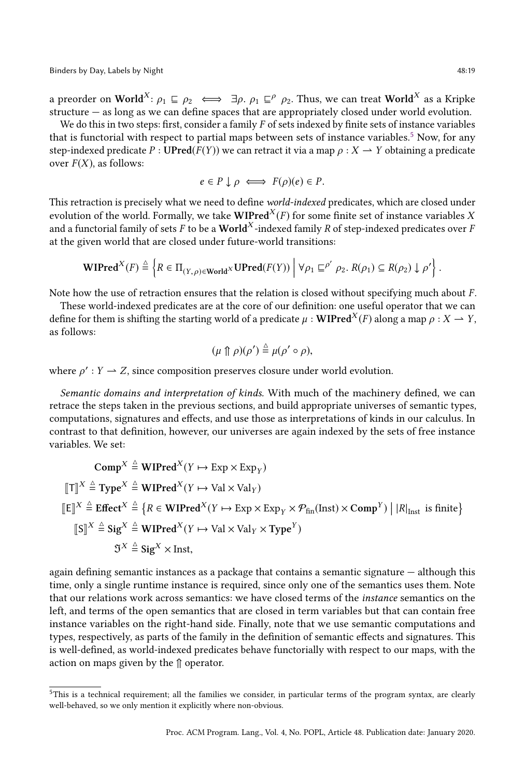Binders by Day, Labels by Night 48:19

a preorder on World<sup>X</sup>:  $\rho_1 \sqsubseteq \rho_2 \iff \exists \rho, \rho_1 \sqsubseteq^{\rho} \rho_2$ . Thus, we can treat World<sup>X</sup> as a Kripke structure — as long as we can define spaces that are appropriately closed under world evolution.

We do this in two steps: first, consider a family  $F$  of sets indexed by finite sets of instance variables that is functorial with respect to partial maps between sets of instance variables.<sup>[5](#page-18-0)</sup> Now, for any step-indexed predicate P : UPred( $F(Y)$ ) we can retract it via a map  $\rho: X \to Y$  obtaining a predicate over  $F(X)$ , as follows:

$$
e \in P \downarrow \rho \iff F(\rho)(e) \in P.
$$

This retraction is precisely what we need to define world-indexed predicates, which are closed under evolution of the world. Formally, we take  $\mathbf{WIPred}^X(F)$  for some finite set of instance variables  $X$ and a functorial family of sets  $F$  to be a  $\mathbf{World}^X\text{-}\mathrm{indexed}$  family  $R$  of step-indexed predicates over  $F$ at the given world that are closed under future-world transitions:

$$
\mathbf{WIPred}^X(F) \stackrel{\triangle}{=} \left\{ R \in \Pi_{(Y,\rho) \in \mathbf{World}^X} \mathbf{UPred}(F(Y)) \middle| \forall \rho_1 \sqsubseteq^{\rho'} \rho_2. R(\rho_1) \subseteq R(\rho_2) \downarrow \rho' \right\}.
$$

Note how the use of retraction ensures that the relation is closed without specifying much about  $F$ .

These world-indexed predicates are at the core of our definition: one useful operator that we can define for them is shifting the starting world of a predicate  $\mu$  : **WIPred**<sup>X</sup>(*F*) along a map  $\rho$  :  $X \to Y$ , as follows:

$$
(\mu \uparrow \!\!\!\!\!\uparrow \rho)(\rho') \stackrel{\scriptscriptstyle\triangle}{=} \mu(\rho' \circ \rho),
$$

where  $\rho' : Y \to Z$ , since composition preserves closure under world evolution.

Semantic domains and interpretation of kinds. With much of the machinery defined, we can retrace the steps taken in the previous sections, and build appropriate universes of semantic types, computations, signatures and effects, and use those as interpretations of kinds in our calculus. In contrast to that definition, however, our universes are again indexed by the sets of free instance variables. We set:

Comp<sup>X</sup> 
$$
\stackrel{\triangle}{=}
$$
 WIPred<sup>X</sup> ( $Y \mapsto \text{Exp} \times \text{Exp}_Y$ )  
\n $[\![T]\!]^X \stackrel{\triangle}{=}$  Type<sup>X</sup>  $\stackrel{\triangle}{=}$  WIPred<sup>X</sup> ( $Y \mapsto \text{Val} \times \text{Val}_Y$ )  
\n $[\![E]\!]^X \stackrel{\triangle}{=}$  Effect<sup>X</sup>  $\stackrel{\triangle}{=}$  { $R \in \text{WIPred}^X(Y \mapsto \text{Exp} \times \text{Exp}_Y \times \mathcal{P}_{fin}(\text{Inst}) \times \text{Comp}^Y)$  |  $|R|_{\text{Inst}}$  is finite}  
\n $[\![S]\!]^X \stackrel{\triangle}{=}$  Sig<sup>X</sup>  $\stackrel{\triangle}{=}$  WIPred<sup>X</sup> ( $Y \mapsto \text{Val} \times \text{Val}_Y \times \text{Type}^Y$ )  
\n $\mathfrak{I}^X \stackrel{\triangle}{=}$  Sig<sup>X</sup>  $\times$  Inst,

again defining semantic instances as a package that contains a semantic signature — although this time, only a single runtime instance is required, since only one of the semantics uses them. Note that our relations work across semantics: we have closed terms of the instance semantics on the left, and terms of the open semantics that are closed in term variables but that can contain free instance variables on the right-hand side. Finally, note that we use semantic computations and types, respectively, as parts of the family in the definition of semantic effects and signatures. This is well-defined, as world-indexed predicates behave functorially with respect to our maps, with the action on maps given by the ⇑ operator.

<span id="page-18-0"></span><sup>5</sup>This is a technical requirement; all the families we consider, in particular terms of the program syntax, are clearly well-behaved, so we only mention it explicitly where non-obvious.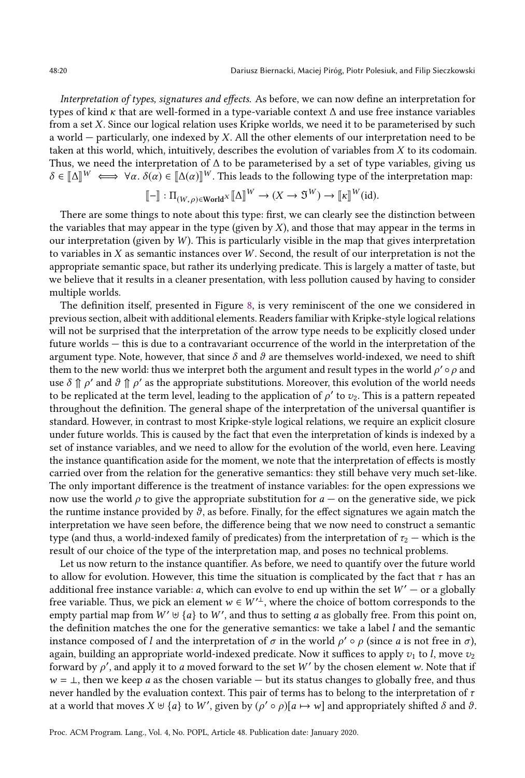Interpretation of types, signatures and effects. As before, we can now define an interpretation for types of kind <sup>κ</sup> that are well-formed in a type-variable context ∆ and use free instance variables from a set X. Since our logical relation uses Kripke worlds, we need it to be parameterised by such a world — particularly, one indexed by X. All the other elements of our interpretation need to be taken at this world, which, intuitively, describes the evolution of variables from X to its codomain. Thus, we need the interpretation of  $\Delta$  to be parameterised by a set of type variables, giving us  $\delta \in [\![\Delta]\!]^W \iff \forall \alpha. \ \delta(\alpha) \in [\![\Delta(\alpha)]\!]^W$ . This leads to the following type of the interpretation map:

$$
[\![\mathbf{-}]\!] : \Pi_{(W,\rho) \in \mathbf{World}^X} [\![\Delta]\!]^W \to (X \to \mathfrak{I}^W) \to [\![\kappa]\!]^W(\mathrm{id}).
$$

There are some things to note about this type: first, we can clearly see the distinction between the variables that may appear in the type (given by  $X$ ), and those that may appear in the terms in our interpretation (given by  $W$ ). This is particularly visible in the map that gives interpretation to variables in  $X$  as semantic instances over  $W$ . Second, the result of our interpretation is not the appropriate semantic space, but rather its underlying predicate. This is largely a matter of taste, but we believe that it results in a cleaner presentation, with less pollution caused by having to consider multiple worlds.

The definition itself, presented in Figure [8,](#page-20-0) is very reminiscent of the one we considered in previous section, albeit with additional elements. Readers familiar with Kripke-style logical relations will not be surprised that the interpretation of the arrow type needs to be explicitly closed under future worlds — this is due to a contravariant occurrence of the world in the interpretation of the argument type. Note, however, that since  $\delta$  and  $\vartheta$  are themselves world-indexed, we need to shift them to the new world: thus we interpret both the argument and result types in the world  $\rho' \circ \rho$  and use  $\delta \cap \rho'$  and  $\vartheta \cap \rho'$  as the appropriate substitutions. Moreover, this evolution of the world needs to be replicated at the term level, leading to the application of  $\rho'$  to  $v_2$ . This is a pattern repeated throughout the definition. The general shape of the interpretation of the universal quantifier is standard. However, in contrast to most Kripke-style logical relations, we require an explicit closure under future worlds. This is caused by the fact that even the interpretation of kinds is indexed by a set of instance variables, and we need to allow for the evolution of the world, even here. Leaving the instance quantification aside for the moment, we note that the interpretation of effects is mostly carried over from the relation for the generative semantics: they still behave very much set-like. The only important difference is the treatment of instance variables: for the open expressions we now use the world  $\rho$  to give the appropriate substitution for  $a$  — on the generative side, we pick the runtime instance provided by  $\vartheta$ , as before. Finally, for the effect signatures we again match the interpretation we have seen before, the difference being that we now need to construct a semantic type (and thus, a world-indexed family of predicates) from the interpretation of  $\tau_2$  — which is the result of our choice of the type of the interpretation map, and poses no technical problems.

Let us now return to the instance quantifier. As before, we need to quantify over the future world to allow for evolution. However, this time the situation is complicated by the fact that  $\tau$  has an additional free instance variable: a, which can evolve to end up within the set  $W' -$  or a globally free variable. Thus, we pick an element  $w \in W'^{\perp}$ , where the choice of bottom corresponds to the empty partial map from  $W' \uplus \{a\}$  to  $W'$ , and thus to setting a as globally free. From this point on, the definition matches the one for the generative semantics: we take a label  $l$  and the semantic instance composed of l and the interpretation of  $\sigma$  in the world  $\rho' \circ \rho$  (since a is not free in  $\sigma$ ), again, building an appropriate world-indexed predicate. Now it suffices to apply  $v_1$  to l, move  $v_2$ forward by  $\rho'$ , and apply it to a moved forward to the set W' by the chosen element w. Note that if  $w = \perp$ , then we keep a as the chosen variable — but its status changes to globally free, and thus never handled by the evaluation context. This pair of terms has to belong to the interpretation of  $\tau$ at a world that moves  $X \uplus \{a\}$  to  $W'$ , given by  $(\rho' \circ \rho)[a \mapsto w]$  and appropriately shifted  $\delta$  and  $\vartheta$ .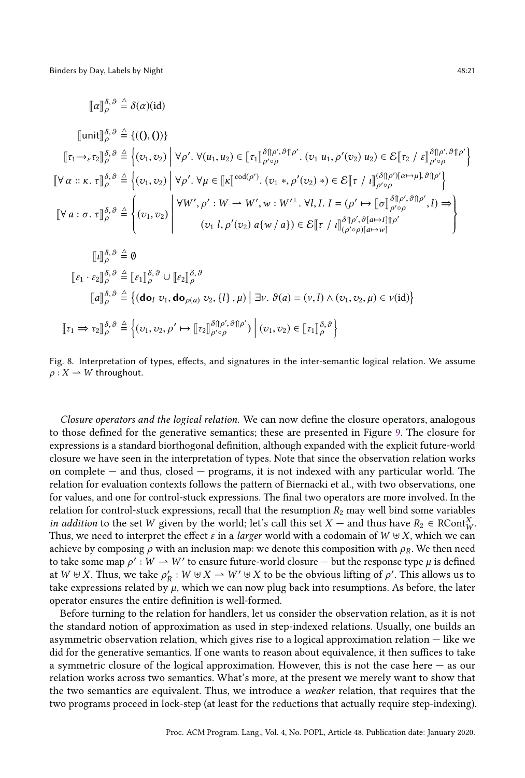<span id="page-20-0"></span>
$$
\llbracket \alpha \rrbracket_{\rho}^{\delta,\vartheta} \triangleq \delta(\alpha)(\mathrm{id})
$$
\n
$$
\llbracket \operatorname{unit} \rrbracket_{\rho}^{\delta,\vartheta} \triangleq \{(), ()\} \rrbracket
$$
\n
$$
\llbracket \tau_1 \rightarrow_{\varepsilon} \tau_2 \rrbracket_{\rho}^{\delta,\vartheta} \triangleq \left\{ (v_1, v_2) \middle| \forall \rho'. \forall (u_1, u_2) \in \llbracket \tau_1 \rrbracket_{\rho' \circ \rho}^{\delta \uparrow \rho', \vartheta \uparrow \rho'} \right. \quad (v_1 \ u_1, \rho'(v_2) \ u_2) \in \mathcal{E} \llbracket \tau_2 \middle| \mathcal{E} \rho \llbracket \tau_2 \middle|_{\rho' \circ \rho}^{\delta \uparrow \rho', \vartheta \uparrow \rho'} \right\}
$$
\n
$$
\llbracket \forall \alpha :: \kappa. \tau \rrbracket_{\rho}^{\delta,\vartheta} \triangleq \left\{ (v_1, v_2) \middle| \forall \rho'. \forall \mu \in \llbracket \kappa \rrbracket^{\text{cod}(\rho')} \right. (v_1 \ * , \rho'(v_2) \ * ) \in \mathcal{E} \llbracket \tau \middle| \mathcal{E} \parallel_{\rho' \circ \rho}^{\delta \uparrow \rho', \vartheta \uparrow \rho'} \right\}
$$
\n
$$
\llbracket \forall a : \sigma. \tau \rrbracket_{\rho}^{\delta,\vartheta} \triangleq \left\{ (v_1, v_2) \middle| \forall W', \rho' : W \rightarrow W', w : W'^\perp \cdot \forall l, I, I = (\rho' \mapsto \llbracket \sigma \rrbracket_{\rho' \circ \rho}^{\delta \uparrow \rho', \vartheta \uparrow \rho'} \right. \land (v_1 \ l, \rho'(v_2) \ a \{w / a\}) \in \mathcal{E} \llbracket \tau \middle| \mathcal{E} \parallel_{(\rho' \circ \rho)[a \mapsto \nu]}^{\delta \uparrow \rho', \vartheta \uparrow \rho'} \right\}
$$
\n
$$
\llbracket \iota \rrbracket_{\rho}^{\delta,\vartheta} \triangleq \vartheta
$$
\n
$$
\llbracket \epsilon_1 \cdot \epsilon_2 \rrbracket_{\rho}^{\delta,\vartheta} \triangleq \left\{ \
$$

Fig. 8. Interpretation of types, effects, and signatures in the inter-semantic logical relation. We assume  $\rho: X \to W$  throughout.

Closure operators and the logical relation. We can now define the closure operators, analogous to those defined for the generative semantics; these are presented in Figure [9.](#page-21-0) The closure for expressions is a standard biorthogonal definition, although expanded with the explicit future-world closure we have seen in the interpretation of types. Note that since the observation relation works on complete — and thus, closed — programs, it is not indexed with any particular world. The relation for evaluation contexts follows the pattern of Biernacki et al., with two observations, one for values, and one for control-stuck expressions. The final two operators are more involved. In the relation for control-stuck expressions, recall that the resumption  $R_2$  may well bind some variables *in addition* to the set W given by the world; let's call this set  $X$  — and thus have  $R_2 \in \text{RCont}_{W}^X$ .<br>Thus we need to interpret the effect  $\varepsilon$  in a *larger* world with a codomain of  $W \uplus X$  which we can Thus, we need to interpret the effect  $\varepsilon$  in a *larger* world with a codomain of  $W \uplus X$ , which we can achieve by composing  $\rho$  with an inclusion map: we denote this composition with  $\rho_R$ . We then need to take some map  $\rho' : W \to W'$  to ensure future-world closure — but the response type  $\mu$  is defined<br>at  $W \vDash X$ . Thus, we take  $\rho' : W \vDash Y \to W' \vDash X$  to be the obvious lifting of  $\rho'$ . This allows us to at  $W \uplus X$ . Thus, we take  $\rho'_R : W \uplus X \to W' \uplus X$  to be the obvious lifting of  $\rho'$ . This allows us to take expressions related by u which we can now plug back into resumptions. As before the later take expressions related by  $\mu$ , which we can now plug back into resumptions. As before, the later operator ensures the entire definition is well-formed.

Before turning to the relation for handlers, let us consider the observation relation, as it is not the standard notion of approximation as used in step-indexed relations. Usually, one builds an asymmetric observation relation, which gives rise to a logical approximation relation — like we did for the generative semantics. If one wants to reason about equivalence, it then suffices to take a symmetric closure of the logical approximation. However, this is not the case here  $-$  as our relation works across two semantics. What's more, at the present we merely want to show that the two semantics are equivalent. Thus, we introduce a weaker relation, that requires that the two programs proceed in lock-step (at least for the reductions that actually require step-indexing).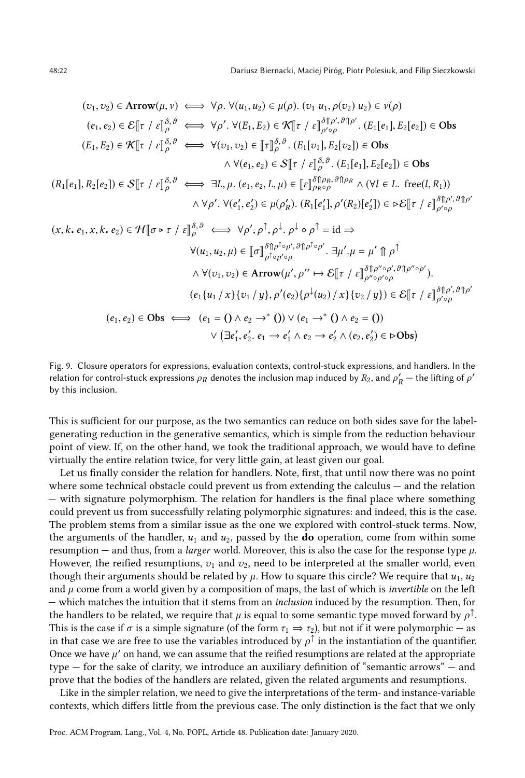<span id="page-21-0"></span>
$$
(v_1, v_2) \in \text{Arrow}(\mu, v) \iff \forall \rho. \forall (u_1, u_2) \in \mu(\rho). (v_1 u_1, \rho(v_2) u_2) \in v(\rho)
$$
\n
$$
(e_1, e_2) \in \mathcal{E}[\tau \mid \varepsilon]_{\rho}^{\delta, \theta} \iff \forall \rho'. \forall (E_1, E_2) \in \mathcal{K}[\tau \mid \varepsilon]_{\rho' \circ \rho}^{\delta, \beta' \circ \beta'} \quad (E_1[e_1], E_2[e_2]) \in \text{Obs}
$$
\n
$$
(E_1, E_2) \in \mathcal{K}[\tau \mid \varepsilon]_{\rho}^{\delta, \theta} \iff \forall (v_1, v_2) \in [\tau]_{\rho}^{\delta, \theta}. (E_1[v_1], E_2[v_2]) \in \text{Obs}
$$
\n
$$
\land \forall (e_1, e_2) \in \mathcal{S}[\tau \mid \varepsilon]_{\rho}^{\delta, \theta}. (E_1[v_1], E_2[v_2]) \in \text{Obs}
$$
\n
$$
(R_1[e_1], R_2[e_2]) \in \mathcal{S}[[\tau \mid \varepsilon]]_{\rho}^{\delta, \theta} \iff \exists L, \mu. (e_1, e_2, L, \mu) \in [\varepsilon]_{\rho_R \circ \rho}^{\delta, \beta} \quad (\forall l \in L. \text{ free}(l, R_1))
$$
\n
$$
\land \forall \rho'. \forall (e_1', e_2') \in \mu(\rho_R'). (R_1[e_1'], \rho'(R_2)[e_2']) \in \triangleright \mathcal{E}[[\tau \mid \varepsilon]]_{\rho' \circ \rho}^{\delta, \beta} \quad (\forall u_1, u_2, \mu) \in [\sigma]_{\rho' \circ \rho}^{\delta, \beta} \quad \forall \rho'. \rho^{\dagger}, \rho^{\dagger} \circ \rho^{\dagger} \in \sigma] \Rightarrow
$$
\n
$$
\forall (u_1, u_2, \mu) \in [\sigma]_{\rho' \circ \rho}^{\delta, \beta} \quad (\exists \mu'. \mu = \mu' \parallel \rho^{\dagger})
$$
\n
$$
\land \forall (v_1, v_2) \in \text{Arrow}(\mu', \rho'' \mapsto \mathcal{E}[[\tau \mid
$$

Fig. 9. Closure operators for expressions, evaluation contexts, control-stuck expressions, and handlers. In the relation for control-stuck expressions  $\rho_R$  denotes the inclusion map induced by  $R_2$ , and  $\rho'_R$  — the lifting of  $\rho'$ <br>by this inclusion by this inclusion.

This is sufficient for our purpose, as the two semantics can reduce on both sides save for the labelgenerating reduction in the generative semantics, which is simple from the reduction behaviour point of view. If, on the other hand, we took the traditional approach, we would have to define virtually the entire relation twice, for very little gain, at least given our goal.

Let us finally consider the relation for handlers. Note, first, that until now there was no point where some technical obstacle could prevent us from extending the calculus  $-$  and the relation — with signature polymorphism. The relation for handlers is the final place where something could prevent us from successfully relating polymorphic signatures: and indeed, this is the case. The problem stems from a similar issue as the one we explored with control-stuck terms. Now, the arguments of the handler,  $u_1$  and  $u_2$ , passed by the **do** operation, come from within some resumption — and thus, from a *larger* world. Moreover, this is also the case for the response type  $\mu$ . However, the reified resumptions,  $v_1$  and  $v_2$ , need to be interpreted at the smaller world, even though their arguments should be related by  $\mu$ . How to square this circle? We require that  $u_1, u_2$ and  $\mu$  come from a world given by a composition of maps, the last of which is *invertible* on the left — which matches the intuition that it stems from an inclusion induced by the resumption. Then, for the handlers to be related, we require that  $\mu$  is equal to some semantic type moved forward by  $\rho^{\uparrow}$ . This is the case if  $\sigma$  is a simple signature (of the form  $\tau_1 \Rightarrow \tau_2$ ), but not if it were polymorphic — as in that case we are free to use the variables introduced by  $\rho^{\uparrow}$  in the instantiation of the quantifier. Once we have  $\mu'$  on hand, we can assume that the reified resumptions are related at the appropriate type — for the sake of clarity, we introduce an auxiliary definition of "semantic arrows" — and prove that the bodies of the handlers are related, given the related arguments and resumptions.

Like in the simpler relation, we need to give the interpretations of the term- and instance-variable contexts, which differs little from the previous case. The only distinction is the fact that we only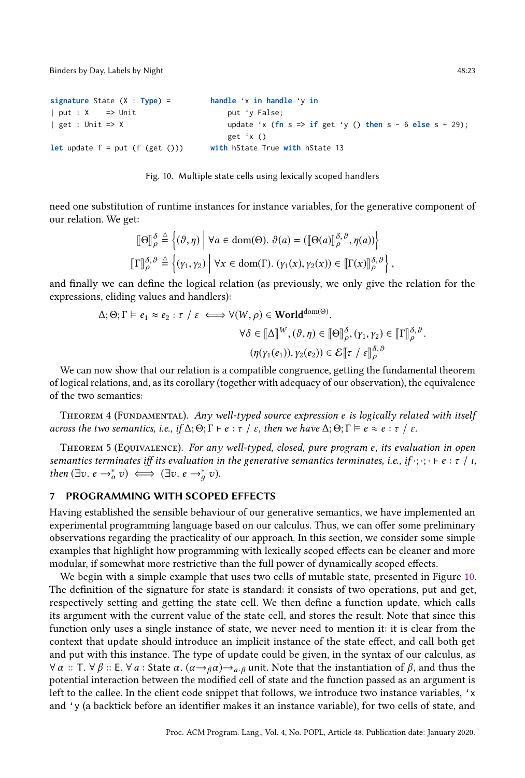Binders by Day, Labels by Night 48:23

```
signature State (X : Type) =
| put : X = => Unit
| get : Unit => X
let update f = put(f(get()))handle 'x in handle 'y in
                                        put 'y False;
                                         update 'x (fn s => if get 'y () then s - 6 else s + 29);
                                         get 'x ()
                                     with hState True with hState 13
```


need one substitution of runtime instances for instance variables, for the generative component of our relation. We get:

$$
\begin{aligned}\n\llbracket \Theta \rrbracket_{\rho}^{\delta} &\stackrel{\Delta}{=} \left\{ (\vartheta, \eta) \middle| \forall a \in \text{dom}(\Theta). \ \vartheta(a) = (\llbracket \Theta(a) \rrbracket_{\rho}^{\delta, \vartheta}, \eta(a)) \right\} \\
\llbracket \Gamma \rrbracket_{\rho}^{\delta, \vartheta} &\stackrel{\Delta}{=} \left\{ (\gamma_1, \gamma_2) \middle| \forall x \in \text{dom}(\Gamma). \ (\gamma_1(x), \gamma_2(x)) \in \llbracket \Gamma(x) \rrbracket_{\rho}^{\delta, \vartheta} \right\},\n\end{aligned}
$$

and finally we can define the logical relation (as previously, we only give the relation for the expressions, eliding values and handlers):

$$
\Delta; \Theta; \Gamma \vDash e_1 \approx e_2 : \tau \mid \varepsilon \iff \forall (W, \rho) \in \text{World}^{\text{dom}(\Theta)}.
$$

$$
\forall \delta \in [\![\Delta]\!]^W, (\vartheta, \eta) \in [\![\Theta]\!]_{\rho}^{\delta}, (\gamma_1, \gamma_2) \in [\![\Gamma]\!]_{\rho}^{\delta, \vartheta}.
$$

$$
(\eta(\gamma_1(e_1)), \gamma_2(e_2)) \in \mathcal{E}[[\![\tau \mid \varepsilon]\!]_{\rho}^{\delta, \vartheta})
$$
We can now show that our relation is a compatible congruence, getting the fundamental theorem

of logical relations, and, as its corollary (together with adequacy of our observation), the equivalence of the two semantics:

THEOREM 4 (FUNDAMENTAL). Any well-typed source expression e is logically related with itself across the two semantics, i.e., if  $\Delta; \Theta; \Gamma \vdash e : \tau \neq \varepsilon$ , then we have  $\Delta; \Theta; \Gamma \models e \approx e : \tau \neq \varepsilon$ .

THEOREM 5 (EQUIVALENCE). For any well-typed, closed, pure program e, its evaluation in open semantics terminates iff its evaluation in the generative semantics terminates, i.e., if  $\cdot$ ;  $\cdot$ ;  $\cdot \cdot \in \in \tau / \tau$ , then  $(\exists v. e \rightarrow_o^* v) \iff (\exists v. e \rightarrow_g^* v)$ .

## <span id="page-22-0"></span>7 PROGRAMMING WITH SCOPED EFFECTS

Having established the sensible behaviour of our generative semantics, we have implemented an experimental programming language based on our calculus. Thus, we can offer some preliminary observations regarding the practicality of our approach. In this section, we consider some simple examples that highlight how programming with lexically scoped effects can be cleaner and more modular, if somewhat more restrictive than the full power of dynamically scoped effects.

We begin with a simple example that uses two cells of mutable state, presented in Figure [10.](#page-22-1) The definition of the signature for state is standard: it consists of two operations, put and get, respectively setting and getting the state cell. We then define a function update, which calls its argument with the current value of the state cell, and stores the result. Note that since this function only uses a single instance of state, we never need to mention it: it is clear from the context that update should introduce an implicit instance of the state effect, and call both get and put with this instance. The type of update could be given, in the syntax of our calculus, as  $\forall \alpha :: T. \forall \beta :: E. \forall a :$  State  $\alpha. (\alpha \rightarrow_{\beta} \alpha) \rightarrow_{\alpha.\beta}$  unit. Note that the instantiation of  $\beta$ , and thus the potential interaction between the modified cell of state and the function passed as an argument is left to the callee. In the client code snippet that follows, we introduce two instance variables, 'x and 'y (a backtick before an identifier makes it an instance variable), for two cells of state, and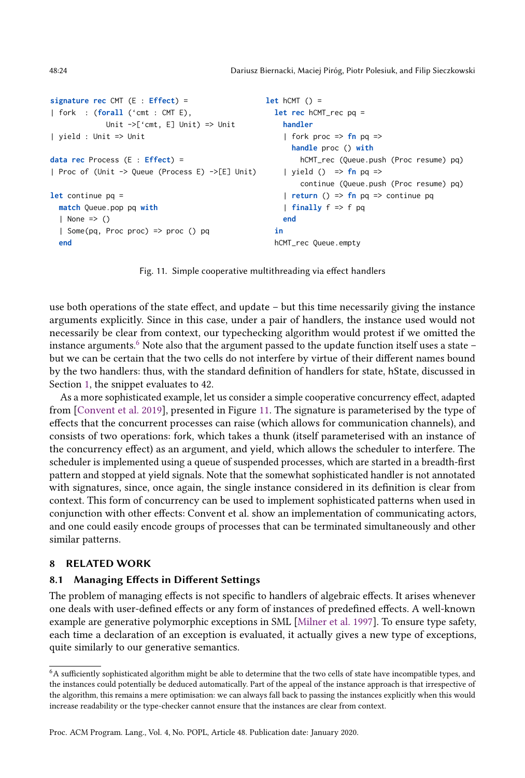```
signature rec CMT (E : Effect) =
| fork : (forall ('cmt : CMT E),
              Unit ->['cmt, E] Unit) => Unit
| yield : Unit => Unit
data rec Process (E : Effect) =
| Proc of (Unit -> Queue (Process E) ->[E] Unit)
let continue pq =
  match Queue.pop pq with
  | None \Rightarrow ()
  | Some(pq, Proc proc) => proc () pq
  end
                                                      let hCMT () =
                                                        let rec hCMT_rec pq =
                                                           handler
                                                           | fork proc \Rightarrow fn pq \Rightarrowhandle proc () with
                                                               hCMT_rec (Queue.push (Proc resume) pq)
                                                           | yield () \Rightarrow fn pq \Rightarrowcontinue (Queue.push (Proc resume) pq)
                                                           | return () => fn pq => continue pq
                                                           | finally f => f pq
                                                           end
                                                         in
                                                        hCMT_rec Queue.empty
```
Fig. 11. Simple cooperative multithreading via effect handlers

use both operations of the state effect, and update – but this time necessarily giving the instance arguments explicitly. Since in this case, under a pair of handlers, the instance used would not necessarily be clear from context, our typechecking algorithm would protest if we omitted the instance arguments.<sup>[6](#page-23-1)</sup> Note also that the argument passed to the update function itself uses a state  $$ but we can be certain that the two cells do not interfere by virtue of their different names bound by the two handlers: thus, with the standard definition of handlers for state, hState, discussed in Section [1,](#page-0-0) the snippet evaluates to 42.

As a more sophisticated example, let us consider a simple cooperative concurrency effect, adapted from [\[Convent et al.](#page-26-5) [2019\]](#page-26-5), presented in Figure [11.](#page-23-2) The signature is parameterised by the type of effects that the concurrent processes can raise (which allows for communication channels), and consists of two operations: fork, which takes a thunk (itself parameterised with an instance of the concurrency effect) as an argument, and yield, which allows the scheduler to interfere. The scheduler is implemented using a queue of suspended processes, which are started in a breadth-first pattern and stopped at yield signals. Note that the somewhat sophisticated handler is not annotated with signatures, since, once again, the single instance considered in its definition is clear from context. This form of concurrency can be used to implement sophisticated patterns when used in conjunction with other effects: Convent et al. show an implementation of communicating actors, and one could easily encode groups of processes that can be terminated simultaneously and other similar patterns.

## <span id="page-23-0"></span>8 RELATED WORK

## 8.1 Managing Effects in Different Settings

The problem of managing effects is not specific to handlers of algebraic effects. It arises whenever one deals with user-defined effects or any form of instances of predefined effects. A well-known example are generative polymorphic exceptions in SML [\[Milner et al.](#page-27-13) [1997\]](#page-27-13). To ensure type safety, each time a declaration of an exception is evaluated, it actually gives a new type of exceptions, quite similarly to our generative semantics.

<span id="page-23-1"></span> $^6\mathrm{A}$  sufficiently sophisticated algorithm might be able to determine that the two cells of state have incompatible types, and the instances could potentially be deduced automatically. Part of the appeal of the instance approach is that irrespective of the algorithm, this remains a mere optimisation: we can always fall back to passing the instances explicitly when this would increase readability or the type-checker cannot ensure that the instances are clear from context.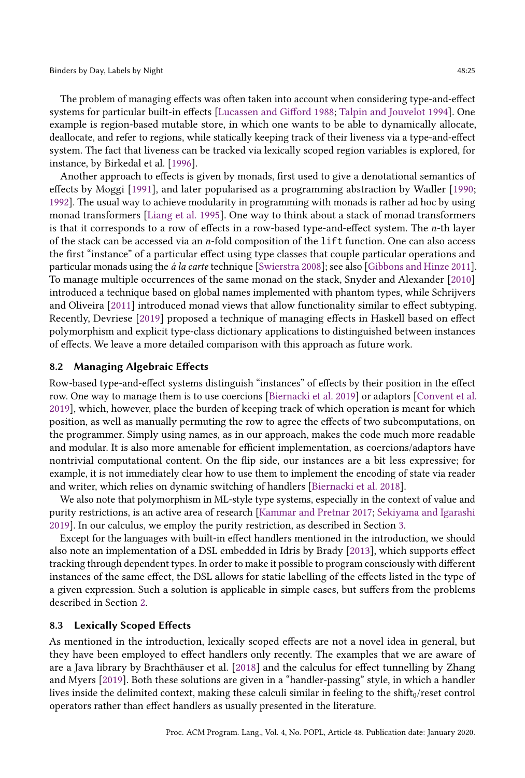The problem of managing effects was often taken into account when considering type-and-effect systems for particular built-in effects [\[Lucassen and Gifford](#page-27-14) [1988;](#page-27-14) [Talpin and Jouvelot](#page-27-10) [1994\]](#page-27-10). One example is region-based mutable store, in which one wants to be able to dynamically allocate, deallocate, and refer to regions, while statically keeping track of their liveness via a type-and-effect system. The fact that liveness can be tracked via lexically scoped region variables is explored, for instance, by Birkedal et al. [\[1996\]](#page-26-7).

Another approach to effects is given by monads, first used to give a denotational semantics of effects by Moggi [\[1991\]](#page-27-15), and later popularised as a programming abstraction by Wadler [\[1990;](#page-28-2) [1992\]](#page-28-3). The usual way to achieve modularity in programming with monads is rather ad hoc by using monad transformers [\[Liang et al.](#page-27-16) [1995\]](#page-27-16). One way to think about a stack of monad transformers is that it corresponds to a row of effects in a row-based type-and-effect system. The n-th layer of the stack can be accessed via an n-fold composition of the lift function. One can also access the first "instance" of a particular effect using type classes that couple particular operations and particular monads using the á la carte technique [\[Swierstra](#page-27-17) [2008\]](#page-27-17); see also [\[Gibbons and Hinze](#page-27-18) [2011\]](#page-27-18). To manage multiple occurrences of the same monad on the stack, Snyder and Alexander [\[2010\]](#page-27-19) introduced a technique based on global names implemented with phantom types, while Schrijvers and Oliveira [\[2011\]](#page-27-20) introduced monad views that allow functionality similar to effect subtyping. Recently, Devriese [\[2019\]](#page-26-16) proposed a technique of managing effects in Haskell based on effect polymorphism and explicit type-class dictionary applications to distinguished between instances of effects. We leave a more detailed comparison with this approach as future work.

#### 8.2 Managing Algebraic Effects

Row-based type-and-effect systems distinguish "instances" of effects by their position in the effect row. One way to manage them is to use coercions [\[Biernacki et al.](#page-26-2) [2019\]](#page-26-2) or adaptors [\[Convent et al.](#page-26-5) [2019\]](#page-26-5), which, however, place the burden of keeping track of which operation is meant for which position, as well as manually permuting the row to agree the effects of two subcomputations, on the programmer. Simply using names, as in our approach, makes the code much more readable and modular. It is also more amenable for efficient implementation, as coercions/adaptors have nontrivial computational content. On the flip side, our instances are a bit less expressive; for example, it is not immediately clear how to use them to implement the encoding of state via reader and writer, which relies on dynamic switching of handlers [\[Biernacki et al.](#page-26-6) [2018\]](#page-26-6).

We also note that polymorphism in ML-style type systems, especially in the context of value and purity restrictions, is an active area of research [\[Kammar and Pretnar](#page-27-21) [2017;](#page-27-21) [Sekiyama and Igarashi](#page-27-22) [2019\]](#page-27-22). In our calculus, we employ the purity restriction, as described in Section [3.](#page-5-0)

Except for the languages with built-in effect handlers mentioned in the introduction, we should also note an implementation of a DSL embedded in Idris by Brady [\[2013\]](#page-26-17), which supports effect tracking through dependent types. In order to make it possible to program consciously with different instances of the same effect, the DSL allows for static labelling of the effects listed in the type of a given expression. Such a solution is applicable in simple cases, but suffers from the problems described in Section [2.](#page-3-0)

#### 8.3 Lexically Scoped Effects

As mentioned in the introduction, lexically scoped effects are not a novel idea in general, but they have been employed to effect handlers only recently. The examples that we are aware of are a Java library by Brachthäuser et al. [\[2018\]](#page-26-8) and the calculus for effect tunnelling by Zhang and Myers [\[2019\]](#page-28-1). Both these solutions are given in a "handler-passing" style, in which a handler lives inside the delimited context, making these calculi similar in feeling to the shift $_0$ /reset control operators rather than effect handlers as usually presented in the literature.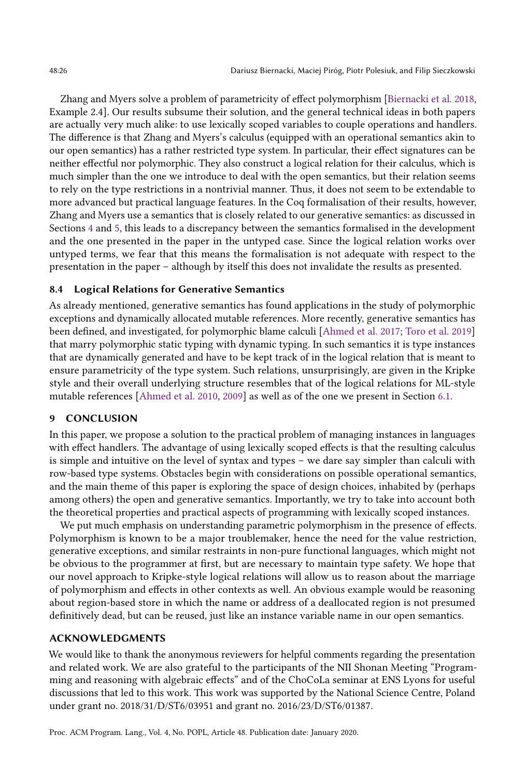Zhang and Myers solve a problem of parametricity of effect polymorphism [\[Biernacki et al.](#page-26-6) [2018,](#page-26-6) Example 2.4]. Our results subsume their solution, and the general technical ideas in both papers are actually very much alike: to use lexically scoped variables to couple operations and handlers. The difference is that Zhang and Myers's calculus (equipped with an operational semantics akin to our open semantics) has a rather restricted type system. In particular, their effect signatures can be neither effectful nor polymorphic. They also construct a logical relation for their calculus, which is much simpler than the one we introduce to deal with the open semantics, but their relation seems to rely on the type restrictions in a nontrivial manner. Thus, it does not seem to be extendable to more advanced but practical language features. In the Coq formalisation of their results, however, Zhang and Myers use a semantics that is closely related to our generative semantics: as discussed in Sections [4](#page-8-0) and [5,](#page-11-0) this leads to a discrepancy between the semantics formalised in the development and the one presented in the paper in the untyped case. Since the logical relation works over untyped terms, we fear that this means the formalisation is not adequate with respect to the presentation in the paper – although by itself this does not invalidate the results as presented.

## 8.4 Logical Relations for Generative Semantics

As already mentioned, generative semantics has found applications in the study of polymorphic exceptions and dynamically allocated mutable references. More recently, generative semantics has been defined, and investigated, for polymorphic blame calculi [\[Ahmed et al.](#page-26-18) [2017;](#page-26-18) [Toro et al.](#page-28-4) [2019\]](#page-28-4) that marry polymorphic static typing with dynamic typing. In such semantics it is type instances that are dynamically generated and have to be kept track of in the logical relation that is meant to ensure parametricity of the type system. Such relations, unsurprisingly, are given in the Kripke style and their overall underlying structure resembles that of the logical relations for ML-style mutable references [\[Ahmed et al.](#page-26-19) [2010,](#page-26-19) [2009\]](#page-26-20) as well as of the one we present in Section [6.1.](#page-14-0)

## 9 CONCLUSION

In this paper, we propose a solution to the practical problem of managing instances in languages with effect handlers. The advantage of using lexically scoped effects is that the resulting calculus is simple and intuitive on the level of syntax and types – we dare say simpler than calculi with row-based type systems. Obstacles begin with considerations on possible operational semantics, and the main theme of this paper is exploring the space of design choices, inhabited by (perhaps among others) the open and generative semantics. Importantly, we try to take into account both the theoretical properties and practical aspects of programming with lexically scoped instances.

We put much emphasis on understanding parametric polymorphism in the presence of effects. Polymorphism is known to be a major troublemaker, hence the need for the value restriction, generative exceptions, and similar restraints in non-pure functional languages, which might not be obvious to the programmer at first, but are necessary to maintain type safety. We hope that our novel approach to Kripke-style logical relations will allow us to reason about the marriage of polymorphism and effects in other contexts as well. An obvious example would be reasoning about region-based store in which the name or address of a deallocated region is not presumed definitively dead, but can be reused, just like an instance variable name in our open semantics.

## ACKNOWLEDGMENTS

We would like to thank the anonymous reviewers for helpful comments regarding the presentation and related work. We are also grateful to the participants of the NII Shonan Meeting "Programming and reasoning with algebraic effects" and of the ChoCoLa seminar at ENS Lyons for useful discussions that led to this work. This work was supported by the National Science Centre, Poland under grant no. 2018/31/D/ST6/03951 and grant no. 2016/23/D/ST6/01387.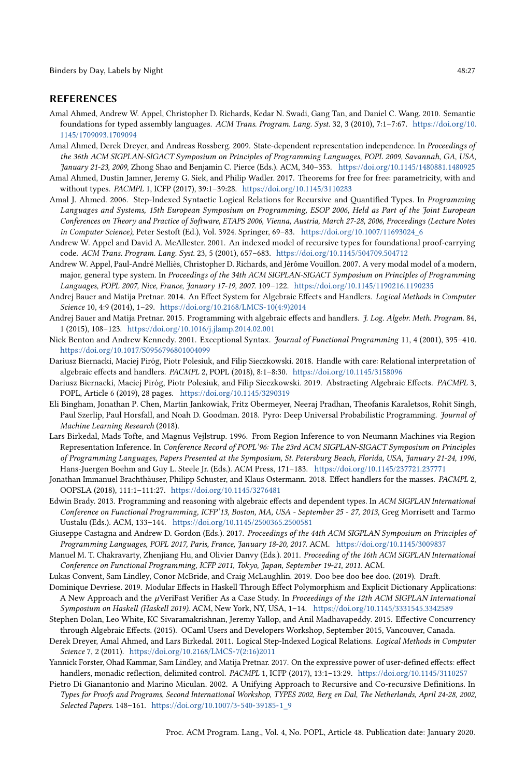#### REFERENCES

- <span id="page-26-19"></span>Amal Ahmed, Andrew W. Appel, Christopher D. Richards, Kedar N. Swadi, Gang Tan, and Daniel C. Wang. 2010. Semantic foundations for typed assembly languages. ACM Trans. Program. Lang. Syst. 32, 3 (2010), 7:1–7:67. [https://doi.org/10.](https://doi.org/10.1145/1709093.1709094) [1145/1709093.1709094](https://doi.org/10.1145/1709093.1709094)
- <span id="page-26-20"></span>Amal Ahmed, Derek Dreyer, and Andreas Rossberg. 2009. State-dependent representation independence. In Proceedings of the 36th ACM SIGPLAN-SIGACT Symposium on Principles of Programming Languages, POPL 2009, Savannah, GA, USA, January 21-23, 2009, Zhong Shao and Benjamin C. Pierce (Eds.). ACM, 340–353. <https://doi.org/10.1145/1480881.1480925>
- <span id="page-26-18"></span>Amal Ahmed, Dustin Jamner, Jeremy G. Siek, and Philip Wadler. 2017. Theorems for free for free: parametricity, with and without types. PACMPL 1, ICFP (2017), 39:1–39:28. <https://doi.org/10.1145/3110283>
- <span id="page-26-11"></span>Amal J. Ahmed. 2006. Step-Indexed Syntactic Logical Relations for Recursive and Quantified Types. In Programming Languages and Systems, 15th European Symposium on Programming, ESOP 2006, Held as Part of the Joint European Conferences on Theory and Practice of Software, ETAPS 2006, Vienna, Austria, March 27-28, 2006, Proceedings (Lecture Notes in Computer Science), Peter Sestoft (Ed.), Vol. 3924. Springer, 69–83. [https://doi.org/10.1007/11693024\\_6](https://doi.org/10.1007/11693024_6)
- <span id="page-26-12"></span>Andrew W. Appel and David A. McAllester. 2001. An indexed model of recursive types for foundational proof-carrying code. ACM Trans. Program. Lang. Syst. 23, 5 (2001), 657–683. <https://doi.org/10.1145/504709.504712>
- <span id="page-26-14"></span>Andrew W. Appel, Paul-André Melliès, Christopher D. Richards, and Jérôme Vouillon. 2007. A very modal model of a modern, major, general type system. In Proceedings of the 34th ACM SIGPLAN-SIGACT Symposium on Principles of Programming Languages, POPL 2007, Nice, France, January 17-19, 2007. 109–122. <https://doi.org/10.1145/1190216.1190235>
- <span id="page-26-1"></span>Andrej Bauer and Matija Pretnar. 2014. An Effect System for Algebraic Effects and Handlers. Logical Methods in Computer Science 10, 4:9 (2014), 1–29. [https://doi.org/10.2168/LMCS-10\(4:9\)2014](https://doi.org/10.2168/LMCS-10(4:9)2014)
- <span id="page-26-0"></span>Andrej Bauer and Matija Pretnar. 2015. Programming with algebraic effects and handlers. J. Log. Algebr. Meth. Program. 84, 1 (2015), 108–123. <https://doi.org/10.1016/j.jlamp.2014.02.001>
- <span id="page-26-9"></span>Nick Benton and Andrew Kennedy. 2001. Exceptional Syntax. Journal of Functional Programming 11, 4 (2001), 395–410. <https://doi.org/10.1017/S0956796801004099>
- <span id="page-26-6"></span>Dariusz Biernacki, Maciej Piróg, Piotr Polesiuk, and Filip Sieczkowski. 2018. Handle with care: Relational interpretation of algebraic effects and handlers. PACMPL 2, POPL (2018), 8:1–8:30. <https://doi.org/10.1145/3158096>
- <span id="page-26-2"></span>Dariusz Biernacki, Maciej Piróg, Piotr Polesiuk, and Filip Sieczkowski. 2019. Abstracting Algebraic Effects. PACMPL 3, POPL, Article 6 (2019), 28 pages. <https://doi.org/10.1145/3290319>
- <span id="page-26-3"></span>Eli Bingham, Jonathan P. Chen, Martin Jankowiak, Fritz Obermeyer, Neeraj Pradhan, Theofanis Karaletsos, Rohit Singh, Paul Szerlip, Paul Horsfall, and Noah D. Goodman. 2018. Pyro: Deep Universal Probabilistic Programming. Journal of Machine Learning Research (2018).
- <span id="page-26-7"></span>Lars Birkedal, Mads Tofte, and Magnus Vejlstrup. 1996. From Region Inference to von Neumann Machines via Region Representation Inference. In Conference Record of POPL'96: The 23rd ACM SIGPLAN-SIGACT Symposium on Principles of Programming Languages, Papers Presented at the Symposium, St. Petersburg Beach, Florida, USA, January 21-24, 1996, Hans-Juergen Boehm and Guy L. Steele Jr. (Eds.). ACM Press, 171–183. <https://doi.org/10.1145/237721.237771>
- <span id="page-26-8"></span>Jonathan Immanuel Brachthäuser, Philipp Schuster, and Klaus Ostermann. 2018. Effect handlers for the masses. PACMPL 2, OOPSLA (2018), 111:1–111:27. <https://doi.org/10.1145/3276481>
- <span id="page-26-17"></span>Edwin Brady. 2013. Programming and reasoning with algebraic effects and dependent types. In ACM SIGPLAN International Conference on Functional Programming, ICFP'13, Boston, MA, USA - September 25 - 27, 2013, Greg Morrisett and Tarmo Uustalu (Eds.). ACM, 133–144. <https://doi.org/10.1145/2500365.2500581>
- <span id="page-26-22"></span>Giuseppe Castagna and Andrew D. Gordon (Eds.). 2017. Proceedings of the 44th ACM SIGPLAN Symposium on Principles of Programming Languages, POPL 2017, Paris, France, January 18-20, 2017. ACM. <https://doi.org/10.1145/3009837>
- <span id="page-26-21"></span>Manuel M. T. Chakravarty, Zhenjiang Hu, and Olivier Danvy (Eds.). 2011. Proceeding of the 16th ACM SIGPLAN International Conference on Functional Programming, ICFP 2011, Tokyo, Japan, September 19-21, 2011. ACM.
- <span id="page-26-5"></span>Lukas Convent, Sam Lindley, Conor McBride, and Craig McLaughlin. 2019. Doo bee doo bee doo. (2019). Draft.
- <span id="page-26-16"></span>Dominique Devriese. 2019. Modular Effects in Haskell Through Effect Polymorphism and Explicit Dictionary Applications: A New Approach and the µVeriFast Verifier As a Case Study. In Proceedings of the 12th ACM SIGPLAN International Symposium on Haskell (Haskell 2019). ACM, New York, NY, USA, 1–14. <https://doi.org/10.1145/3331545.3342589>
- <span id="page-26-4"></span>Stephen Dolan, Leo White, KC Sivaramakrishnan, Jeremy Yallop, and Anil Madhavapeddy. 2015. Effective Concurrency through Algebraic Effects. (2015). OCaml Users and Developers Workshop, September 2015, Vancouver, Canada.
- <span id="page-26-15"></span>Derek Dreyer, Amal Ahmed, and Lars Birkedal. 2011. Logical Step-Indexed Logical Relations. Logical Methods in Computer Science 7, 2 (2011). [https://doi.org/10.2168/LMCS-7\(2:16\)2011](https://doi.org/10.2168/LMCS-7(2:16)2011)
- <span id="page-26-10"></span>Yannick Forster, Ohad Kammar, Sam Lindley, and Matija Pretnar. 2017. On the expressive power of user-defined effects: effect handlers, monadic reflection, delimited control. PACMPL 1, ICFP (2017), 13:1-13:29. <https://doi.org/10.1145/3110257>
- <span id="page-26-13"></span>Pietro Di Gianantonio and Marino Miculan. 2002. A Unifying Approach to Recursive and Co-recursive Definitions. In Types for Proofs and Programs, Second International Workshop, TYPES 2002, Berg en Dal, The Netherlands, April 24-28, 2002, Selected Papers. 148-161. [https://doi.org/10.1007/3-540-39185-1\\_9](https://doi.org/10.1007/3-540-39185-1_9)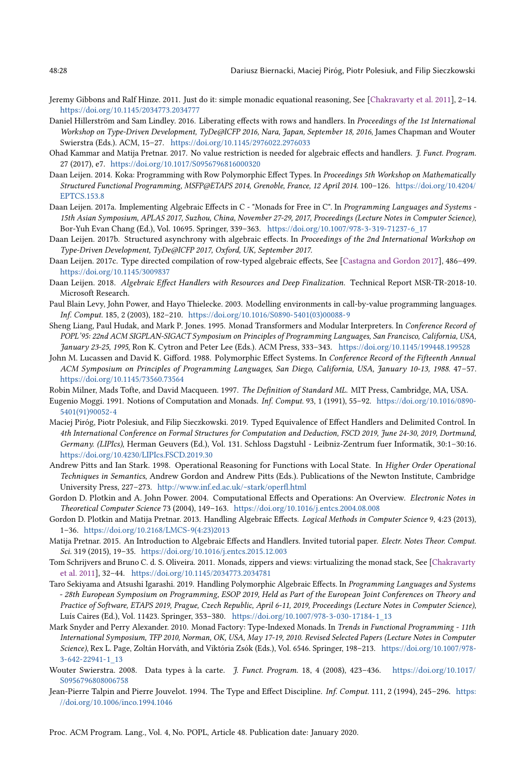- <span id="page-27-18"></span>Jeremy Gibbons and Ralf Hinze. 2011. Just do it: simple monadic equational reasoning, See [\[Chakravarty et al.](#page-26-21) [2011\]](#page-26-21), 2–14. <https://doi.org/10.1145/2034773.2034777>
- <span id="page-27-2"></span>Daniel Hillerström and Sam Lindley. 2016. Liberating effects with rows and handlers. In Proceedings of the 1st International Workshop on Type-Driven Development, TyDe@ICFP 2016, Nara, Japan, September 18, 2016, James Chapman and Wouter Swierstra (Eds.). ACM, 15–27. <https://doi.org/10.1145/2976022.2976033>
- <span id="page-27-21"></span>Ohad Kammar and Matija Pretnar. 2017. No value restriction is needed for algebraic effects and handlers. J. Funct. Program. 27 (2017), e7. <https://doi.org/10.1017/S0956796816000320>
- <span id="page-27-3"></span>Daan Leijen. 2014. Koka: Programming with Row Polymorphic Effect Types. In Proceedings 5th Workshop on Mathematically Structured Functional Programming, MSFP@ETAPS 2014, Grenoble, France, 12 April 2014. 100–126. [https://doi.org/10.4204/](https://doi.org/10.4204/EPTCS.153.8) [EPTCS.153.8](https://doi.org/10.4204/EPTCS.153.8)
- <span id="page-27-5"></span>Daan Leijen. 2017a. Implementing Algebraic Effects in C - "Monads for Free in C". In Programming Languages and Systems - 15th Asian Symposium, APLAS 2017, Suzhou, China, November 27-29, 2017, Proceedings (Lecture Notes in Computer Science), Bor-Yuh Evan Chang (Ed.), Vol. 10695. Springer, 339–363. [https://doi.org/10.1007/978-3-319-71237-6\\_17](https://doi.org/10.1007/978-3-319-71237-6_17)
- <span id="page-27-6"></span>Daan Leijen. 2017b. Structured asynchrony with algebraic effects. In Proceedings of the 2nd International Workshop on Type-Driven Development, TyDe@ICFP 2017, Oxford, UK, September 2017.
- <span id="page-27-7"></span>Daan Leijen. 2017c. Type directed compilation of row-typed algebraic effects, See [\[Castagna and Gordon](#page-26-22) [2017\]](#page-26-22), 486–499. <https://doi.org/10.1145/3009837>
- <span id="page-27-4"></span>Daan Leijen. 2018. Algebraic Effect Handlers with Resources and Deep Finalization. Technical Report MSR-TR-2018-10. Microsoft Research.
- <span id="page-27-11"></span>Paul Blain Levy, John Power, and Hayo Thielecke. 2003. Modelling environments in call-by-value programming languages. Inf. Comput. 185, 2 (2003), 182–210. [https://doi.org/10.1016/S0890-5401\(03\)00088-9](https://doi.org/10.1016/S0890-5401(03)00088-9)
- <span id="page-27-16"></span>Sheng Liang, Paul Hudak, and Mark P. Jones. 1995. Monad Transformers and Modular Interpreters. In Conference Record of POPL'95: 22nd ACM SIGPLAN-SIGACT Symposium on Principles of Programming Languages, San Francisco, California, USA, January 23-25, 1995, Ron K. Cytron and Peter Lee (Eds.). ACM Press, 333–343. <https://doi.org/10.1145/199448.199528>
- <span id="page-27-14"></span>John M. Lucassen and David K. Gifford. 1988. Polymorphic Effect Systems. In Conference Record of the Fifteenth Annual ACM Symposium on Principles of Programming Languages, San Diego, California, USA, January 10-13, 1988. 47–57. <https://doi.org/10.1145/73560.73564>
- <span id="page-27-13"></span>Robin Milner, Mads Tofte, and David Macqueen. 1997. The Definition of Standard ML. MIT Press, Cambridge, MA, USA.
- <span id="page-27-15"></span>Eugenio Moggi. 1991. Notions of Computation and Monads. Inf. Comput. 93, 1 (1991), 55–92. [https://doi.org/10.1016/0890-](https://doi.org/10.1016/0890-5401(91)90052-4) [5401\(91\)90052-4](https://doi.org/10.1016/0890-5401(91)90052-4)
- <span id="page-27-9"></span>Maciej Piróg, Piotr Polesiuk, and Filip Sieczkowski. 2019. Typed Equivalence of Effect Handlers and Delimited Control. In 4th International Conference on Formal Structures for Computation and Deduction, FSCD 2019, June 24-30, 2019, Dortmund, Germany. (LIPIcs), Herman Geuvers (Ed.), Vol. 131. Schloss Dagstuhl - Leibniz-Zentrum fuer Informatik, 30:1–30:16. <https://doi.org/10.4230/LIPIcs.FSCD.2019.30>
- <span id="page-27-12"></span>Andrew Pitts and Ian Stark. 1998. Operational Reasoning for Functions with Local State. In Higher Order Operational Techniques in Semantics, Andrew Gordon and Andrew Pitts (Eds.). Publications of the Newton Institute, Cambridge University Press, 227–273. <http://www.inf.ed.ac.uk/~stark/operfl.html>
- <span id="page-27-0"></span>Gordon D. Plotkin and A. John Power. 2004. Computational Effects and Operations: An Overview. Electronic Notes in Theoretical Computer Science 73 (2004), 149–163. <https://doi.org/10.1016/j.entcs.2004.08.008>
- <span id="page-27-1"></span>Gordon D. Plotkin and Matija Pretnar. 2013. Handling Algebraic Effects. Logical Methods in Computer Science 9, 4:23 (2013), 1–36. [https://doi.org/10.2168/LMCS-9\(4:23\)2013](https://doi.org/10.2168/LMCS-9(4:23)2013)
- <span id="page-27-8"></span>Matija Pretnar. 2015. An Introduction to Algebraic Effects and Handlers. Invited tutorial paper. Electr. Notes Theor. Comput. Sci. 319 (2015), 19–35. <https://doi.org/10.1016/j.entcs.2015.12.003>
- <span id="page-27-20"></span>Tom Schrijvers and Bruno C. d. S. Oliveira. 2011. Monads, zippers and views: virtualizing the monad stack, See [\[Chakravarty](#page-26-21) [et al.](#page-26-21) [2011\]](#page-26-21), 32–44. <https://doi.org/10.1145/2034773.2034781>
- <span id="page-27-22"></span>Taro Sekiyama and Atsushi Igarashi. 2019. Handling Polymorphic Algebraic Effects. In Programming Languages and Systems - 28th European Symposium on Programming, ESOP 2019, Held as Part of the European Joint Conferences on Theory and Practice of Software, ETAPS 2019, Prague, Czech Republic, April 6-11, 2019, Proceedings (Lecture Notes in Computer Science), Luís Caires (Ed.), Vol. 11423. Springer, 353–380. [https://doi.org/10.1007/978-3-030-17184-1\\_13](https://doi.org/10.1007/978-3-030-17184-1_13)
- <span id="page-27-19"></span>Mark Snyder and Perry Alexander. 2010. Monad Factory: Type-Indexed Monads. In Trends in Functional Programming - 11th International Symposium, TFP 2010, Norman, OK, USA, May 17-19, 2010. Revised Selected Papers (Lecture Notes in Computer Science), Rex L. Page, Zoltán Horváth, and Viktória Zsók (Eds.), Vol. 6546. Springer, 198–213. [https://doi.org/10.1007/978-](https://doi.org/10.1007/978-3-642-22941-1_13) [3-642-22941-1\\_13](https://doi.org/10.1007/978-3-642-22941-1_13)
- <span id="page-27-17"></span>Wouter Swierstra. 2008. Data types à la carte. J. Funct. Program. 18, 4 (2008), 423–436. [https://doi.org/10.1017/](https://doi.org/10.1017/S0956796808006758) [S0956796808006758](https://doi.org/10.1017/S0956796808006758)
- <span id="page-27-10"></span>Jean-Pierre Talpin and Pierre Jouvelot. 1994. The Type and Effect Discipline. Inf. Comput. 111, 2 (1994), 245-296. [https:](https://doi.org/10.1006/inco.1994.1046) [//doi.org/10.1006/inco.1994.1046](https://doi.org/10.1006/inco.1994.1046)